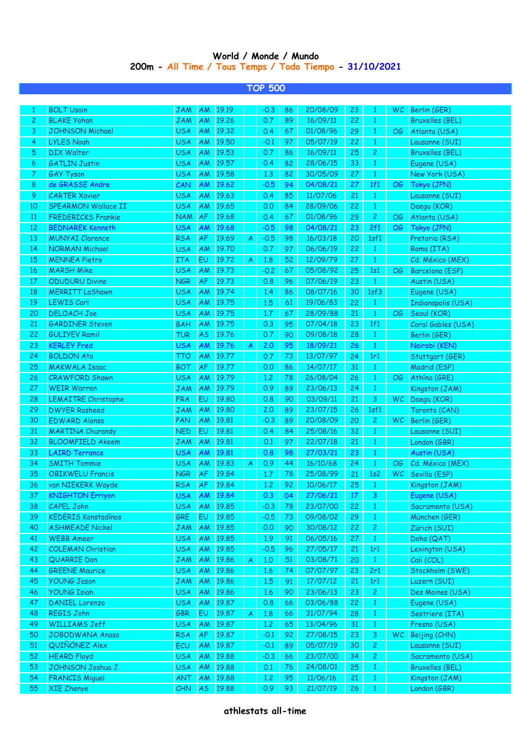## **World / Monde / Mundo 200m - All Time / Tous Temps / Todo Tiempo - 31/10/2021**

**TOP 500**

|                | <b>BOLT Usain</b>          | <b>JAM</b>        | AM        | 19.19 |                         | $-0.3$ | 86              | 20/08/09 | 23 |                | WC.       | Berlin (GER)              |
|----------------|----------------------------|-------------------|-----------|-------|-------------------------|--------|-----------------|----------|----|----------------|-----------|---------------------------|
| $\overline{c}$ | <b>BLAKE Yohan</b>         | <b>JAM</b>        | AM        | 19.26 |                         | 0.7    | 89              | 16/09/11 | 22 | $\mathbf{1}$   |           | <b>Bruxelles (BEL)</b>    |
| 3              | <b>JOHNSON Michael</b>     | <b>USA</b>        | AM        | 19.32 |                         | 0.4    | 67              | 01/08/96 | 29 | $\mathbf{1}$   | OG        | Atlanta (USA)             |
| 4              | <b>LYLES Noah</b>          | <b>USA</b>        | AM        | 19.50 |                         | $-0.1$ | 97              | 05/07/19 | 22 | $\mathbf{1}$   |           | Lausanne (SUI)            |
| 5              | <b>DIX Walter</b>          | <b>USA</b>        | AM        | 19.53 |                         | 0.7    | 86              | 16/09/11 | 25 | $\mathbf{2}$   |           | <b>Bruxelles (BEL)</b>    |
| 6              | <b>GATLIN Justin</b>       | <b>USA</b>        | AM        | 19.57 |                         | 0.4    | 82              | 28/06/15 | 33 | $\mathbf{1}$   |           | Eugene (USA)              |
| 7              | <b>GAY Tyson</b>           | <b>USA</b>        | AM        | 19.58 |                         | 1,3    | 82              | 30/05/09 | 27 | $\mathbf{1}$   |           | New York (USA)            |
| 8              | de GRASSE Andre            | CAN               | AM        | 19.62 |                         | $-0.5$ | 94              | 04/08/21 | 27 | 1f1            | OG        | Tokyo (JPN)               |
| 9              | <b>CARTER Xavier</b>       | <b>USA</b>        | AM        | 19.63 |                         | 0.4    | 85              | 11/07/06 | 21 | $\mathbf{1}$   |           | Lausanne (SUI)            |
| 10             | SPEARMON Wallace II        | <b>USA</b>        | AM        | 19.65 |                         | 0.0    | 84              | 28/09/06 | 22 | $\mathbf{1}$   |           | Daegu (KOR)               |
| 11             | <b>FREDERICKS Frankie</b>  | <b>NAM</b>        | AF        | 19.68 |                         | 0.4    | 67              | 01/08/96 | 29 | $\mathbf{2}$   | OG        | Atlanta (USA)             |
| 12             | <b>BEDNAREK Kenneth</b>    | <b>USA</b>        | <b>AM</b> | 19.68 |                         | $-0.5$ | 98              | 04/08/21 | 23 | 2f1            | OG        | Tokyo (JPN)               |
| 13             | <b>MUNYAI Clarence</b>     | <b>RSA</b>        | AF        | 19.69 | A                       | $-0.5$ | 98              | 16/03/18 | 20 | 1sf1           |           | Pretoria (RSA)            |
| 14             | <b>NORMAN Michael</b>      | <b>USA</b>        | AM        | 19.70 |                         | 0.7    | 97              | 06/06/19 | 22 | $\mathbf{1}$   |           | Roma (ITA)                |
| 15             | <b>MENNEA Pietro</b>       | <b>ITA</b>        | EU        | 19.72 | A                       | 1.8    | 52              | 12/09/79 | 27 | $\mathbf{1}$   |           | Cd. México (MEX)          |
| 16             | <b>MARSH Mike</b>          | <b>USA</b>        | AM        | 19.73 |                         | $-0.2$ | 67              | 05/08/92 | 25 | 1s1            | OG        | Barcelona (ESP)           |
| 17             | <b>ODUDURU Divine</b>      | <b>NGR</b>        | AF        | 19.73 |                         | 0.8    | 96              | 07/06/19 | 23 | $\mathbf{1}$   |           | Austin (USA)              |
| 18             | <b>MERRITT LaShawn</b>     | <b>USA</b>        | AM        | 19.74 |                         | 1.4    | 86              | 08/07/16 | 30 | 1sf3           |           | Eugene (USA)              |
| 19             | <b>LEWIS Carl</b>          | <b>USA</b>        | AM        | 19.75 |                         | 1.5    | 61              | 19/06/83 | 22 | 1              |           | <b>Indianapolis (USA)</b> |
| 20             | <b>DELOACH Joe</b>         | <b>USA</b>        | AM        | 19.75 |                         | 1.7    | 67              | 28/09/88 | 21 | $\mathbf{1}$   | OG        | Seoul (KOR)               |
| 21             | <b>GARDINER Steven</b>     | <b>BAH</b>        | AM        | 19.75 |                         | 0.3    | 95              | 07/04/18 | 23 | 1f1            |           | Coral Gables (USA)        |
| 22             | <b>GULIYEV Ramil</b>       | <b>TUR</b>        | <b>AS</b> | 19.76 |                         | 0.7    | 90 <sub>2</sub> | 09/08/18 | 28 | $\mathbf{1}$   |           | Berlin (GER)              |
| 23             | <b>KERLEY Fred</b>         | <b>USA</b>        | AM        | 19.76 | $\boldsymbol{A}$        | 2.0    | 95              | 18/09/21 | 26 | $\mathbf{1}$   |           | Nairobi (KEN)             |
| 24             | <b>BOLDON Ato</b>          | <b>TTO</b>        | AM        | 19.77 |                         | 0.7    | 73              | 13/07/97 | 24 | 1r1            |           | Stuttgart (GER)           |
| 25             | <b>MAKWALA Isaac</b>       | <b>BOT</b>        | AF        | 19.77 |                         | 0.0    | 86              | 14/07/17 | 31 | $\mathbf{1}$   |           | Madrid (ESP)              |
| 26             | <b>CRAWFORD Shawn</b>      | <b>USA</b>        | AM        | 19.79 |                         | 1,2    | 78              | 26/08/04 | 26 | $\mathbf{1}$   | OG        | Athína (GRE)              |
| 27             | <b>WEIR Warren</b>         | <b>JAM</b>        | AM        | 19.79 |                         | 0.9    | 89              | 23/06/13 | 24 | $\mathbf{1}$   |           | Kingston (JAM)            |
| 28             | <b>LEMAITRE Christophe</b> | <b>FRA</b>        | EU        | 19.80 |                         | 0.8    | 90              | 03/09/11 | 21 | 3              |           | WC Daegu (KOR)            |
| 29             | <b>DWYER Rasheed</b>       | <b>JAM</b>        | AM        | 19.80 |                         | 2,0    | 89              | 23/07/15 | 26 | 1sf1           |           | Toronto (CAN)             |
| 30             | <b>EDWARD Alonso</b>       | PAN               | AM        | 19.81 |                         | $-0.3$ | 89              | 20/08/09 | 20 | $\overline{c}$ |           | WC Berlin (GER)           |
| 31             | <b>MARTINA Churandy</b>    | <b>NED</b>        | EU        | 19.81 |                         | 0.4    | 84              | 25/08/16 | 32 | $\mathbf{1}$   |           | Lausanne (SUI)            |
| 32             | <b>BLOOMFIELD Akeem</b>    | <b>JAM</b>        | AM        | 19.81 |                         | 0.1    | 97              | 22/07/18 | 21 | $\mathbf{1}$   |           | London (GBR)              |
| 33             | <b>LAIRD Terrance</b>      | <b>USA</b>        | AM        | 19.81 |                         | 0.8    | 98              | 27/03/21 | 23 | $\mathbf{1}$   |           | Austin (USA)              |
| 34             | <b>SMITH Tommie</b>        | <b>USA</b>        | AM        | 19.83 | $\overline{\mathsf{A}}$ | 0.9    | 44              | 16/10/68 | 24 | $\mathbf{1}$   | OG        | Cd. México (MEX)          |
| 35             | <b>OBIKWELU Francis</b>    | <b>NGR</b>        | AF        | 19.84 |                         | 1.7    | 78              | 25/08/99 | 21 | 1s2            | <b>WC</b> | Sevilla (ESP)             |
| 36             | van NIEKERK Wayde          | <b>RSA</b>        | AF        | 19.84 |                         | 1.2    | 92              | 10/06/17 | 25 | $\mathbf{1}$   |           | Kingston (JAM)            |
| 37             | <b>KNIGHTON Frrivon</b>    | <b>USA</b>        | <b>AM</b> | 19.84 |                         | 0.3    | 04              | 27/06/21 | 17 | 3 <sup>1</sup> |           | Eugene (USA)              |
| 38             | <b>CAPEL John</b>          | <b>USA</b>        | <b>AM</b> | 19.85 |                         | $-0.3$ | 78              | 23/07/00 | 22 | $\mathbf{1}$   |           | Sacramento (USA)          |
| 39             | KEDÉRIS Konstadínos        | <b>GRE</b>        | EU        | 19.85 |                         | $-0.5$ | 73              | 09/08/02 | 29 | $\mathbf{1}$   |           | München (GER)             |
| 40             | <b>ASHMEADE Nickel</b>     | <b>JAM</b>        | AM        | 19.85 |                         | 0.0    | 90              | 30/08/12 | 22 | $\mathbf{2}$   |           | Zürich (SUI)              |
| 41             | <b>WEBB Ameer</b>          | <b>USA</b>        | AM        | 19.85 |                         | 1.9    | 91              | 06/05/16 | 27 | $\mathbf{1}$   |           | Doha (QAT)                |
| 42             | <b>COLEMAN Christian</b>   | <b>USA</b>        | AM        | 19.85 |                         | $-0.5$ | 96              | 27/05/17 | 21 | 1r1            |           | Lexington (USA)           |
| 43             | <b>QUARRIE Don</b>         | <b>JAM</b>        | AM        | 19.86 | A                       | 1,0    | 51              | 03/08/71 | 20 | $\mathbf{1}$   |           | Cali (COL)                |
| 44             | <b>GREENE Maurice</b>      | <b>USA</b>        | AM        | 19.86 |                         | 1.6    | 74              | 07/07/97 | 23 | 2r1            |           | Stockholm (SWE)           |
| 45             | <b>YOUNG Jason</b>         | <b>JAM</b>        | AM        | 19.86 |                         | 1.5    | 91              | 17/07/12 | 21 | 1r1            |           | Luzern (SUI)              |
| 46             | <b>YOUNG Isiah</b>         | <b>USA</b>        | AM        | 19.86 |                         | 1.6    | 90              | 23/06/13 | 23 | $\mathbf{2}$   |           | Des Moines (USA)          |
| 47             | <b>DANIEL Lorenzo</b>      | <b>USA</b>        | AM        | 19.87 |                         | 0.8    | 66              | 03/06/88 | 22 | $\mathbf{1}$   |           | Eugene (USA)              |
| 48             | REGIS John                 | <b>GBR</b>        | EU        | 19.87 | $\overline{A}$          | 1.8    | 66              | 31/07/94 | 28 | $\mathbf{1}$   |           | Sestriere (ITA)           |
| 49             | <b>WILLIAMS Jeff</b>       | <b>USA</b>        | AM        | 19.87 |                         | 1.2    | 65              | 13/04/96 | 31 | $\mathbf{1}$   |           | Fresno (USA)              |
| 50             | JOBODWANA Anaso            | <b>RSA</b>        | AF        | 19.87 |                         | $-0.1$ | 92              | 27/08/15 | 23 | 3              | WC.       | Beijing (CHN)             |
| 51             | QUIÑÓNEZ Alex              | ECU               | AM        | 19.87 |                         | $-0.1$ | 89              | 05/07/19 | 30 | $\mathbf{2}$   |           | Lausanne (SUI)            |
| 52             | <b>HEARD Floyd</b>         | <b>USA</b>        | AM        | 19.88 |                         | $-0.3$ | 66              | 23/07/00 | 34 | $\mathbf{2}$   |           | Sacramento (USA)          |
| 53             | JOHNSON Joshua J.          |                   | AM        | 19.88 |                         |        | 76              | 24/08/01 | 25 | $\mathbf{1}$   |           |                           |
| 54             | <b>FRANCIS Miguel</b>      | <b>USA</b><br>ANT |           | 19.88 |                         | 0.1    |                 |          |    |                |           | <b>Bruxelles (BEL)</b>    |
|                |                            |                   | AM        |       |                         | 1,2    | 95              | 11/06/16 | 21 | $\mathbf{1}$   |           | Kingston (JAM)            |
| 55             | <b>XIE Zhenye</b>          | CHN               | <b>AS</b> | 19.88 |                         | 0.9    | 93              | 21/07/19 | 26 | $\mathbf{1}$   |           | London (GBR)              |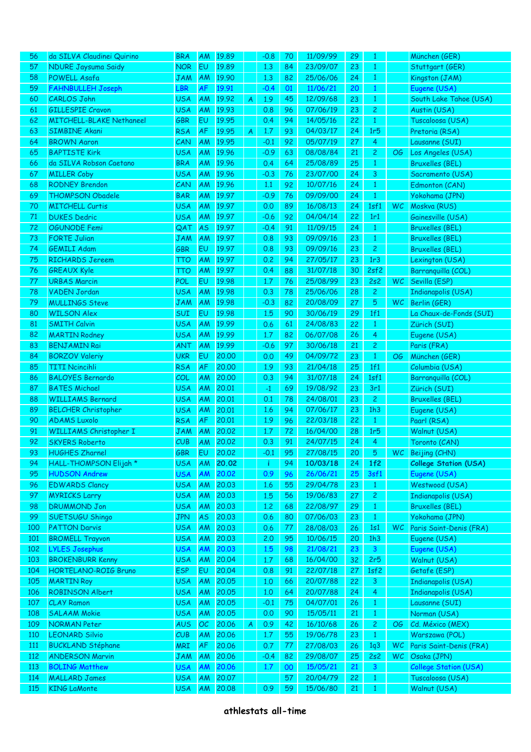| 56     | da SILVA Claudinei Quirino      | <b>BRA</b> | <b>AM</b> | 19.89 |   | $-0.8$        | 70       | 11/09/99 | 29       | 1              |           | München (GER)                |
|--------|---------------------------------|------------|-----------|-------|---|---------------|----------|----------|----------|----------------|-----------|------------------------------|
| 57     | <b>NDURE Jaysuma Saidy</b>      | <b>NOR</b> | EU        | 19.89 |   | 1.3           | 84       | 23/09/07 | 23       | $\mathbf{1}$   |           | Stuttgart (GER)              |
| 58     | POWELL Asafa                    | <b>JAM</b> | AM        | 19.90 |   | 1.3           | 82       | 25/06/06 | 24       | $\mathbf{1}$   |           | Kingston (JAM)               |
| 59     | <b>FAHNBULLEH Joseph</b>        | LBR        | AF        | 19.91 |   | $-0.4$        | 01       | 11/06/21 | 20       | $\mathbf{1}$   |           | Eugene (USA)                 |
| 60     | <b>CARLOS John</b>              | <b>USA</b> | AM        | 19.92 | A | 1.9           | 45       | 12/09/68 | 23       | $\mathbf{1}$   |           | South Lake Tahoe (USA)       |
| 61     | <b>GILLESPIE Cravon</b>         | <b>USA</b> | AM        | 19.93 |   | 0.8           | 96       | 07/06/19 | 23       | $\overline{2}$ |           | Austin (USA)                 |
| 62     | <b>MITCHELL-BLAKE Nethaneel</b> | GBR        | EU        | 19.95 |   | 0.4           | 94       | 14/05/16 | 22       | $\mathbf{1}$   |           | Tuscaloosa (USA)             |
| 63     | <b>SIMBINE Akani</b>            | <b>RSA</b> | AF        | 19.95 | A | 1.7           | 93       | 04/03/17 | 24       | 1r5            |           | Pretoria (RSA)               |
| 64     | <b>BROWN Aaron</b>              | CAN        | AM        | 19.95 |   | $-0.1$        | 92       | 05/07/19 | 27       | $\overline{4}$ |           | Lausanne (SUI)               |
| 65     | <b>BAPTISTE Kirk</b>            | <b>USA</b> | AM        | 19.96 |   | $-0.9$        | 63       | 08/08/84 | 21       | $\mathbf{2}$   | OG.       | Los Angeles (USA)            |
| 66     | da SILVA Robson Caetano         | <b>BRA</b> | AM        | 19.96 |   | 0.4           | 64       | 25/08/89 | 25       | $\mathbf{1}$   |           | <b>Bruxelles (BEL)</b>       |
| 67     | <b>MILLER Coby</b>              | <b>USA</b> | AM        | 19.96 |   | $-0.3$        | 76       | 23/07/00 | 24       | 3              |           | Sacramento (USA)             |
| 68     | <b>RODNEY Brendon</b>           | CAN        | AM        | 19.96 |   | 1.1           | 92       | 10/07/16 | 24       | $\mathbf{1}$   |           | Edmonton (CAN)               |
| 69     | <b>THOMPSON Obadele</b>         | <b>BAR</b> | AM        | 19.97 |   | $-0.9$        | 76       | 09/09/00 | 24       | $\mathbf{1}$   |           | Yokohama (JPN)               |
| 70     | <b>MITCHELL Curtis</b>          | <b>USA</b> | AM        | 19.97 |   | 0.0           | 89       | 16/08/13 | 24       | 1sf1           | <b>WC</b> | Moskva (RUS)                 |
| $71\,$ | <b>DUKES Dedric</b>             | <b>USA</b> | AM        | 19.97 |   | $-0.6$        | 92       | 04/04/14 | 22       | 1r1            |           | Gainesville (USA)            |
| 72     | <b>OGUNODE Femi</b>             | QAT        | <b>AS</b> | 19.97 |   | $-0.4$        | 91       | 11/09/15 | 24       | $\mathbf{1}$   |           | <b>Bruxelles (BEL)</b>       |
| 73     | <b>FORTE Julian</b>             | <b>JAM</b> | AM        | 19.97 |   | 0.8           | 93       | 09/09/16 | 23       | $\mathbf{1}$   |           | <b>Bruxelles (BEL)</b>       |
| 74     | <b>GEMILI Adam</b>              | <b>GBR</b> | EU        | 19.97 |   | 0.8           | 93       | 09/09/16 | 23       | $\overline{2}$ |           | <b>Bruxelles (BEL)</b>       |
| 75     | <b>RICHARDS Jereem</b>          | <b>TTO</b> | AM        | 19.97 |   | 0.2           | 94       | 27/05/17 | 23       | 1r3            |           | Lexington (USA)              |
| 76     | <b>GREAUX Kyle</b>              | <b>TTO</b> | AM        | 19.97 |   | 0.4           | 88       | 31/07/18 | 30       | 2sf2           |           | Barranquilla (COL)           |
| 77     | <b>URBAS Marcin</b>             | POL        | EU        | 19.98 |   | 1.7           | 76       | 25/08/99 | 23       | 2s2            | <b>WC</b> | Sevilla (ESP)                |
| 78     | <b>VADEN Jordan</b>             | <b>USA</b> | AM        | 19.98 |   | 0.3           | 78       | 25/06/06 | 28       | $\mathbf{2}$   |           | Indianapolis (USA)           |
| 79     | <b>MULLINGS Steve</b>           | <b>JAM</b> | AM        | 19.98 |   | $-0.3$        | 82       | 20/08/09 | 27       | $\sqrt{5}$     | <b>WC</b> | Berlin (GER)                 |
| 80     | <b>WILSON Alex</b>              | <b>SUI</b> | EU        | 19.98 |   | 1.5           | 90       | 30/06/19 | 29       | 1f1            |           | La Chaux-de-Fonds (SUI)      |
| 81     | <b>SMITH Calvin</b>             | <b>USA</b> | AM        | 19.99 |   | 0.6           | 61       | 24/08/83 | 22       | $\mathbf{1}$   |           | Zürich (SUI)                 |
| 82     | <b>MARTIN Rodney</b>            | <b>USA</b> | AM        | 19.99 |   | 1.7           | 82       | 06/07/08 | 26       | $\overline{4}$ |           | Eugene (USA)                 |
| 83     | <b>BENJAMIN Rai</b>             | ANT        | AM        | 19.99 |   | $-0.6$        | 97       | 30/06/18 | 21       | $\overline{2}$ |           | Paris (FRA)                  |
| 84     | <b>BORZOV Valeriy</b>           | <b>UKR</b> | EU        | 20.00 |   | 0.0           | 49       | 04/09/72 | 23       | $\mathbf{1}$   | OG        | München (GER)                |
| 85     | <b>TITI Ncincihli</b>           | <b>RSA</b> | AF        | 20.00 |   | 1.9           | 93       | 21/04/18 | 25       | 1f1            |           | Columbia (USA)               |
| 86     | <b>BALOYES Bernardo</b>         | COL        | AM        | 20.00 |   | 0.3           | 94       | 31/07/18 | 24       | 1sf1           |           | Barranquilla (COL)           |
| 87     | <b>BATES Michael</b>            | <b>USA</b> | AM        | 20.01 |   | $-1$          | 69       | 19/08/92 | 23       | 3r1            |           | Zürich (SUI)                 |
| 88     | <b>WILLIAMS Bernard</b>         | <b>USA</b> | AM        | 20.01 |   | 0.1           | 78       | 24/08/01 | 23       | 2 <sub>1</sub> |           | <b>Bruxelles (BEL)</b>       |
| 89     | <b>BELCHER Christopher</b>      | <b>USA</b> | AM        | 20.01 |   | 1.6           | 94       | 07/06/17 | 23       | 1h3            |           | Eugene (USA)                 |
| 90     | <b>ADAMS Luxolo</b>             | <b>RSA</b> | AF        | 20.01 |   | 1.9           | 96       | 22/03/18 | 22       | $\mathbf{1}$   |           | Paarl (RSA)                  |
| 91     | <b>WILLIAMS Christopher I</b>   | <b>JAM</b> | AM        | 20,02 |   | 1.7           | 72       | 16/04/00 | 28       | 1r5            |           | Walnut (USA)                 |
| 92     | <b>SKYERS Roberto</b>           | CUB        | AM        | 20.02 |   | 0.3           | 91       | 24/07/15 | 24       | 4              |           | Toronto (CAN)                |
| 93     | <b>HUGHES Zharnel</b>           | GBR        | EU        | 20,02 |   | $-0.1$        | 95       | 27/08/15 | 20       | 5 <sup>7</sup> |           | WC Beijing (CHN)             |
| 94     | HALL-THOMPSON Elijah *          | <b>USA</b> | AM        | 20.02 |   | -i-           | 94       | 10/03/18 | 24       | 1f2            |           | <b>College Station (USA)</b> |
| 95     | <b>HUDSON Andrew</b>            | <b>USA</b> | AM        | 20.02 |   | 0.9           | 96       | 26/06/21 | 25       | 3sf1           |           | Eugene (USA)                 |
| 96     | <b>EDWARDS Clancy</b>           | <b>USA</b> | AM        | 20.03 |   | 1.6           | 55       | 29/04/78 | 23       | $\mathbf{1}$   |           | Westwood (USA)               |
| 97     | <b>MYRICKS Larry</b>            | <b>USA</b> | AM        | 20.03 |   | 1.5           | 56       | 19/06/83 | 27       | $\mathbf{2}$   |           | Indianapolis (USA)           |
| 98     | <b>DRUMMOND Jon</b>             | <b>USA</b> | AM        | 20.03 |   | 1,2           | 68       | 22/08/97 | 29       | $\mathbf{1}$   |           | <b>Bruxelles (BEL)</b>       |
| 99     | SUETSUGU Shingo                 | <b>JPN</b> | AS        | 20.03 |   | 0.6           | 80       | 07/06/03 | 23       | $\mathbf{1}$   |           | Yokohama (JPN)               |
| 100    | <b>PATTON Darvis</b>            | <b>USA</b> | AM        | 20.03 |   | 0.6           | $77$     | 28/08/03 | 26       | 1s1            | <b>WC</b> | Paris Saint-Denis (FRA)      |
| 101    | <b>BROMELL Trayvon</b>          | <b>USA</b> | AM        | 20.03 |   | 2.0           | 95       | 10/06/15 | 20       | 1h3            |           | Eugene (USA)                 |
| 102    | <b>LYLES Josephus</b>           | <b>USA</b> | AM        | 20.03 |   | 1.5           | 98       | 21/08/21 | 23       | $\mathbf{3}$   |           | Eugene (USA)                 |
| 103    | <b>BROKENBURR Kenny</b>         | <b>USA</b> | AM        | 20.04 |   | $1.7$         | 68       | 16/04/00 | 32       | 2r5            |           | Walnut (USA)                 |
| 104    | HORTELANO-ROIG Bruno            | <b>ESP</b> | EU        | 20.04 |   | 0.8           |          | 22/07/18 | 27       | 1sf2           |           | Getafe (ESP)                 |
| 105    | <b>MARTIN Roy</b>               | <b>USA</b> | AM        | 20.05 |   | 1,0           | 91<br>66 | 20/07/88 | 22       | $\mathbf{3}$   |           | Indianapolis (USA)           |
| 106    | <b>ROBINSON Albert</b>          | <b>USA</b> | AM        | 20.05 |   | 1,0           | 64       | 20/07/88 | 24       | $\overline{4}$ |           | Indianapolis (USA)           |
| 107    | <b>CLAY Ramon</b>               | <b>USA</b> | AM        | 20.05 |   |               | 75       | 04/07/01 |          |                |           | Lausanne (SUI)               |
| 108    | <b>SALAAM Mokie</b>             | <b>USA</b> | AM        | 20.05 |   | $-0.1$<br>0.0 | 90       | 15/05/11 | 26<br>21 | $\mathbf{1}$   |           |                              |
|        |                                 |            |           |       |   |               |          |          |          | $\mathbf{1}$   |           | Norman (USA)                 |
| 109    | <b>NORMAN Peter</b>             | <b>AUS</b> | OC        | 20.06 | A | 0.9           | 42       | 16/10/68 | 26       | $\mathbf{2}$   | OG        | Cd. México (MEX)             |
| 110    | <b>LEONARD Silvio</b>           | CUB        | AM        | 20.06 |   | $1.7$         | 55       | 19/06/78 | 23       | $\mathbf{1}$   |           | Warszawa (POL)               |
| 111    | <b>BUCKLAND Stéphane</b>        | <b>MRI</b> | AF        | 20.06 |   | 0.7           | 77       | 27/08/03 | 26       | 1q3            | WC        | Paris Saint-Denis (FRA)      |
| 112    | <b>ANDERSON Marvin</b>          | <b>JAM</b> | <b>AM</b> | 20.06 |   | $-0.4$        | 82       | 29/08/07 | 25       | 2s2            | WC        | Osaka (JPN)                  |
| 113    | <b>BOLING Matthew</b>           | <b>USA</b> | AM        | 20.06 |   | 1.7           | 00       | 15/05/21 | 21       | $\mathbf{3}$   |           | <b>College Station (USA)</b> |
| 114    | <b>MALLARD James</b>            | <b>USA</b> | AM        | 20,07 |   |               | 57       | 20/04/79 | 22       | $\mathbf{1}$   |           | Tuscaloosa (USA)             |
| 115    | <b>KING LaMonte</b>             | <b>USA</b> | AM        | 20.08 |   | 0.9           | 59       | 15/06/80 | 21       | $\mathbf{1}$   |           | Walnut (USA)                 |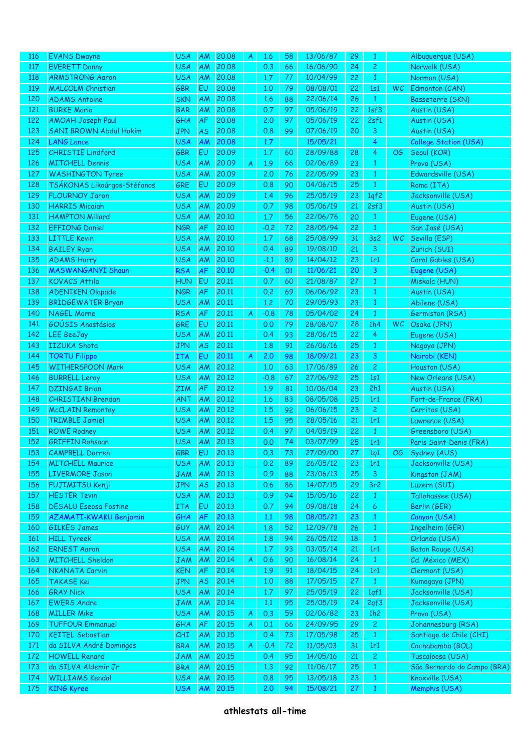| <u>116</u> | <b>EVANS Dwayne</b>           | <b>USA</b> | <b>AM</b> | 20,08 | A | 1.6    | 58 | 13/06/87 | 29 |                |     | Albuquerque (USA)           |
|------------|-------------------------------|------------|-----------|-------|---|--------|----|----------|----|----------------|-----|-----------------------------|
| 117        | <b>EVERETT Danny</b>          | <b>USA</b> | AM        | 20,08 |   | 0.3    | 66 | 16/06/90 | 24 | $\mathbf{2}$   |     | Norwalk (USA)               |
| 118        | <b>ARMSTRONG Aaron</b>        | <b>USA</b> | AM        | 20.08 |   | 1.7    | 77 | 10/04/99 | 22 | $\mathbf{1}$   |     | Norman (USA)                |
| 119        | <b>MALCOLM Christian</b>      | <b>GBR</b> | EU        | 20.08 |   | 1.0    | 79 | 08/08/01 | 22 | 1s1            | WC  | Edmonton (CAN)              |
| 120        | <b>ADAMS Antoine</b>          | <b>SKN</b> | AM        | 20,08 |   | 1.6    | 88 | 22/06/14 | 26 | $\mathbf{1}$   |     | <b>Basseterre (SKN)</b>     |
| 121        | <b>BURKE Mario</b>            | <b>BAR</b> | AM        | 20,08 |   | 0.7    | 97 | 05/06/19 | 22 | 1sf3           |     | Austin (USA)                |
| 122        | <b>AMOAH Joseph Paul</b>      | GHA        | AF        | 20,08 |   | 2.0    | 97 | 05/06/19 | 22 | 2sf1           |     | Austin (USA)                |
| 123        | <b>SANI BROWN Abdul Hakim</b> | <b>JPN</b> | <b>AS</b> | 20,08 |   | 0.8    | 99 | 07/06/19 | 20 | 3              |     | Austin (USA)                |
| 124        | <b>LANG Lance</b>             | <b>USA</b> | AM        | 20.08 |   | 1.7    |    | 15/05/21 |    | 4              |     | College Station (USA)       |
| 125        | <b>CHRISTIE Lindford</b>      | GBR        | EU        | 20.09 |   | 1.7    | 60 | 28/09/88 | 28 | 4              | OG  | Seoul (KOR)                 |
| 126        | <b>MITCHELL Dennis</b>        | <b>USA</b> | AM        | 20.09 | A | 1.9    | 66 | 02/06/89 | 23 | $\mathbf{1}$   |     | Provo (USA)                 |
| 127        | <b>WASHINGTON Tyree</b>       | <b>USA</b> | AM        | 20.09 |   | 2.0    | 76 | 22/05/99 | 23 | $\mathbf{1}$   |     | Edwardsville (USA)          |
| 128        | TSÁKONAS Likoúrgos-Stéfanos   | GRE        | EU        | 20.09 |   | 0.8    | 90 | 04/06/15 | 25 | $\mathbf{1}$   |     | Roma (ITA)                  |
| 129        | <b>FLOURNOY Jaron</b>         | <b>USA</b> | AM        | 20.09 |   | 1.4    | 96 | 25/05/19 | 23 | 1qf2           |     | Jacksonville (USA)          |
| 130        | <b>HARRIS Micaiah</b>         | <b>USA</b> | AM        | 20.09 |   | 0.7    | 98 | 05/06/19 | 21 | 2sf3           |     | Austin (USA)                |
| 131        | <b>HAMPTON Millard</b>        | <b>USA</b> | AM        | 20.10 |   | 1.7    | 56 | 22/06/76 | 20 | $\mathbf{1}$   |     | Eugene (USA)                |
| 132        | <b>EFFIONG Daniel</b>         | <b>NGR</b> | AF        | 20.10 |   | $-0.2$ | 72 | 28/05/94 | 22 | $\mathbf{1}$   |     | San José (USA)              |
| 133        | <b>LITTLE Kevin</b>           | <b>USA</b> | AM        | 20,10 |   | 1.7    | 68 | 25/08/99 | 31 | 3s2            | WC. | Sevilla (ESP)               |
| 134        | <b>BAILEY Ryan</b>            | <b>USA</b> | AM        | 20,10 |   | 0.4    | 89 | 19/08/10 | 21 | 3              |     | Zürich (SUI)                |
| 135        | <b>ADAMS Harry</b>            | <b>USA</b> | AM        | 20,10 |   | $-1.1$ | 89 | 14/04/12 | 23 | 1r1            |     | Coral Gables (USA)          |
| 136        | MASWANGANYI Shaun             | <b>RSA</b> | AF        | 20.10 |   | $-0.4$ | 01 | 11/06/21 | 20 | 3              |     | Eugene (USA)                |
| 137        | <b>KOVACS Attila</b>          | <b>HUN</b> | EU        | 20.11 |   | 0.7    | 60 | 21/08/87 | 27 | $\mathbf{1}$   |     | Miskolc (HUN)               |
| 138        | <b>ADENIKEN Olapade</b>       | <b>NGR</b> | AF        | 20.11 |   | 0.2    | 69 | 06/06/92 | 23 | $\mathbf{1}$   |     | Austin (USA)                |
| 139        | <b>BRIDGEWATER Bryan</b>      | <b>USA</b> | AM        | 20.11 |   | 1,2    | 70 | 29/05/93 | 23 | $\mathbf{1}$   |     | Abilene (USA)               |
| 140        | <b>NAGEL Morne</b>            | <b>RSA</b> | AF        | 20.11 | A | $-0.8$ | 78 | 05/04/02 | 24 | $\mathbf{1}$   |     | Germiston (RSA)             |
| 141        | GOÚSIS Anastásios             | GRE        | EU        | 20.11 |   | 0.0    | 79 | 28/08/07 | 28 | 1h4            | WC. | Osaka (JPN)                 |
| 142        | <b>LEE BeeJay</b>             | <b>USA</b> | AM        | 20.11 |   | 0.4    | 93 | 28/06/15 | 22 | 4              |     | Eugene (USA)                |
| 143        | <b>IIZUKA Shota</b>           | <b>JPN</b> | <b>AS</b> | 20.11 |   | 1.8    | 91 | 26/06/16 | 25 | $\mathbf{1}$   |     | Nagoya (JPN)                |
| 144        |                               |            |           | 20.11 |   |        |    |          |    |                |     |                             |
|            | <b>TORTU Filippo</b>          | <b>ITA</b> | EU        |       | A | 2.0    | 98 | 18/09/21 | 23 | 3              |     | Nairobi (KEN)               |
| 145        | <b>WITHERSPOON Mark</b>       | <b>USA</b> | AM        | 20.12 |   | 1,0    | 63 | 17/06/89 | 26 | $\mathbf{2}$   |     | Houston (USA)               |
| 146        | <b>BURRELL Leroy</b>          | <b>USA</b> | AM        | 20.12 |   | $-0.8$ | 67 | 27/06/92 | 25 | 1s1            |     | New Orleans (USA)           |
| 147        | <b>DZINGAI Brian</b>          | <b>ZIM</b> | AF        | 20.12 |   | 1.9    | 81 | 10/06/04 | 23 | 2h1            |     | Austin (USA)                |
| 148        | <b>CHRISTIAN Brendan</b>      | <b>ANT</b> | AM        | 20.12 |   | 1.6    | 83 | 08/05/08 | 25 | 1r1            |     | Fort-de-France (FRA)        |
| 149        | <b>McCLAIN Remontay</b>       | <b>USA</b> | AM        | 20.12 |   | 1.5    | 92 | 06/06/15 | 23 | $\overline{2}$ |     | Cerritos (USA)              |
| 150        | <b>TRIMBLE Jamiel</b>         | <b>USA</b> | AM        | 20.12 |   | 1.5    | 95 | 28/05/16 | 21 | 1r1            |     | Lawrence (USA)              |
| 151        | <b>ROWE Rodney</b>            | <b>USA</b> | AM        | 20.12 |   | 0.4    | 97 | 04/05/19 | 22 | $\mathbf{1}$   |     | Greensboro (USA)            |
| 152        | <b>GRIFFIN Rohsaan</b>        | <b>USA</b> | AM        | 20.13 |   | 0.0    | 74 | 03/07/99 | 25 | 1r1            |     | Paris Saint-Denis (FRA)     |
| 153        | <b>CAMPBELL Darren</b>        | <b>GBR</b> | EU        | 20.13 |   | 0.3    | 73 | 27/09/00 | 27 | 1q1            | OG. | Sydney (AUS)                |
| 154        | <b>MITCHELL Maurice</b>       | <b>USA</b> | AM        | 20.13 |   | 0.2    | 89 | 26/05/12 | 23 | 1r1            |     | Jacksonville (USA)          |
| 155        | <b>LIVERMORE Jason</b>        | <b>JAM</b> | AM        | 20.13 |   | 0.9    | 88 | 23/06/13 | 25 | 3              |     | Kingston (JAM)              |
| 156        | FUJIMITSU Kenji               | <b>JPN</b> | <b>AS</b> | 20.13 |   | 0.6    | 86 | 14/07/15 | 29 | 3r2            |     | Luzern (SUI)                |
| 157        | <b>HESTER Tevin</b>           | <b>USA</b> | AM        | 20.13 |   | 0.9    | 94 | 15/05/16 | 22 | $\mathbf{1}$   |     | Tallahassee (USA)           |
| 158        | <b>DESALU Eseosa Fostine</b>  | ITA        | EU        | 20.13 |   | 0.7    | 94 | 09/08/18 | 24 | 6              |     | Berlin (GER)                |
| 159        | AZAMATI-KWAKU Benjamin        | GHA        | AF        | 20.13 |   | 1.1    | 98 | 08/05/21 | 23 | $\mathbf{1}$   |     | Canyon (USA)                |
| 160        | <b>GILKES James</b>           | GUY        | AM        | 20.14 |   | 1.8    | 52 | 12/09/78 | 26 | $\mathbf{1}$   |     | Ingelheim (GER)             |
| 161        | <b>HILL Tyreek</b>            | <b>USA</b> | AM        | 20.14 |   | 1.8    | 94 | 26/05/12 | 18 | $\mathbf{1}$   |     | Orlando (USA)               |
| 162        | <b>ERNEST Aaron</b>           | <b>USA</b> | AM        | 20.14 |   | $1.7$  | 93 | 03/05/14 | 21 | 1r1            |     | <b>Baton Rouge (USA)</b>    |
| 163        | <b>MITCHELL Sheldon</b>       | <b>JAM</b> | AM        | 20.14 | A | 0.6    | 90 | 16/08/14 | 24 | $\mathbf{1}$   |     | Cd. México (MEX)            |
| 164        | <b>NKANATA Carvin</b>         | <b>KEN</b> | AF        | 20.14 |   | 1.9    | 91 | 18/04/15 | 24 | 1r1            |     | Clermont (USA)              |
| 165        | <b>TAKASE Kei</b>             | <b>JPN</b> | <b>AS</b> | 20.14 |   | 1,0    | 88 | 17/05/15 | 27 | $\mathbf{1}$   |     | Kumagaya (JPN)              |
| 166        | <b>GRAY Nick</b>              | <b>USA</b> | AM        | 20.14 |   | $1.7$  | 97 | 25/05/19 | 22 | 1qf1           |     | Jacksonville (USA)          |
| 167        | <b>EWERS Andre</b>            | <b>JAM</b> | AM        | 20.14 |   | 1.1    | 95 | 25/05/19 | 24 | 2qf3           |     | Jacksonville (USA)          |
| 168        | <b>MILLER Mike</b>            | <b>USA</b> | AM        | 20.15 | A | 0.3    | 59 | 02/06/82 | 23 | 1h2            |     | Provo (USA)                 |
| 169        | <b>TUFFOUR Emmanuel</b>       | GHA        | AF        | 20.15 | A | 0.1    | 66 | 24/09/95 | 29 | 2 <sub>1</sub> |     | Johannesburg (RSA)          |
| 170        | <b>KEITEL Sebastian</b>       | <b>CHI</b> | AM        | 20.15 |   | 0.4    | 73 | 17/05/98 | 25 | $\mathbf{1}$   |     | Santiago de Chile (CHI)     |
| 171        | da SILVA André Domingos       | <b>BRA</b> | AM        | 20.15 | A | $-0.4$ | 72 | 11/05/03 | 31 | 1r1            |     | Cochabamba (BOL)            |
| 172        | <b>HOWELL Renard</b>          | <b>JAM</b> | AM        | 20.15 |   | 0.4    | 95 | 14/05/16 | 21 | 2 <sub>1</sub> |     | Tuscaloosa (USA)            |
| 173        | da SILVA Aldemir Jr           | <b>BRA</b> | AM        | 20.15 |   | 1,3    | 92 | 11/06/17 | 25 | $\mathbf{1}$   |     | São Bernardo do Campo (BRA) |
| 174        | <b>WILLIAMS Kendal</b>        | <b>USA</b> | AM        | 20.15 |   | 0.8    | 95 | 13/05/18 | 23 | $\mathbf{1}$   |     | Knoxville (USA)             |
| 175        | <b>KING Kyree</b>             | <b>USA</b> | AM        | 20.15 |   | 2.0    | 94 | 15/08/21 | 27 | $\mathbf{1}$   |     | Memphis (USA)               |
|            |                               |            |           |       |   |        |    |          |    |                |     |                             |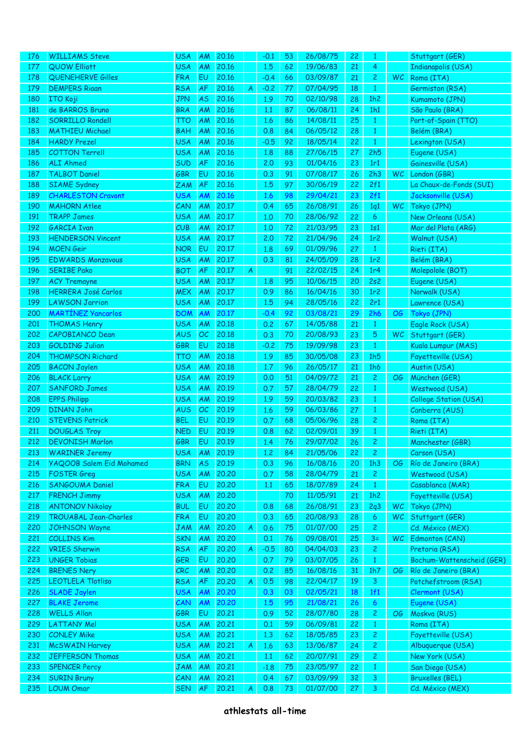| 176 | <b>WILLIAMS Steve</b>        | <b>USA</b> | <b>AM</b> | 20.16 |   | $-0.1$ | 53 | 26/08/75 | 22 | 1              |           | Stuttgart (GER)           |
|-----|------------------------------|------------|-----------|-------|---|--------|----|----------|----|----------------|-----------|---------------------------|
| 177 | QUOW Elliott                 | <b>USA</b> | AM        | 20.16 |   | 1.5    | 62 | 19/06/83 | 21 | $\overline{4}$ |           | <b>Indianapolis (USA)</b> |
| 178 | <b>QUENEHERVE Gilles</b>     | <b>FRA</b> | EU        | 20.16 |   | $-0.4$ | 66 | 03/09/87 | 21 | $\mathbf{2}$   | <b>WC</b> | Roma (ITA)                |
| 179 | <b>DEMPERS Riaan</b>         | <b>RSA</b> | AF        | 20.16 | A | $-0.2$ | 77 | 07/04/95 | 18 | $\mathbf{1}$   |           | Germiston (RSA)           |
| 180 | <b>ITO Koji</b>              | <b>JPN</b> | <b>AS</b> | 20.16 |   | 1.9    | 70 | 02/10/98 | 28 | 1h2            |           | Kumamoto (JPN)            |
| 181 | de BARROS Bruno              | <b>BRA</b> | AM        | 20.16 |   | 1.1    | 87 | 06/08/11 | 24 | 1h1            |           | São Paulo (BRA)           |
| 182 | <b>SORRILLO Rondell</b>      | <b>TTO</b> | AM        | 20.16 |   | 1.6    | 86 | 14/08/11 | 25 | $\mathbf{1}$   |           | Port-of-Spain (TTO)       |
| 183 | <b>MATHIEU Michael</b>       | <b>BAH</b> | AM        | 20.16 |   | 0.8    | 84 | 06/05/12 | 28 | $\mathbf{1}$   |           | Belém (BRA)               |
| 184 | <b>HARDY Prezel</b>          | <b>USA</b> | AM        | 20.16 |   | $-0.5$ | 92 | 18/05/14 | 22 | $\mathbf{1}$   |           | Lexington (USA)           |
| 185 | <b>COTTON Terrell</b>        | <b>USA</b> | AM        | 20.16 |   | 1.8    | 88 | 27/06/15 | 27 | 2h5            |           | Eugene (USA)              |
| 186 | <b>ALI Ahmed</b>             | SUD        | AF        | 20.16 |   | 2.0    | 93 | 01/04/16 | 23 | 1r1            |           | Gainesville (USA)         |
| 187 | <b>TALBOT Daniel</b>         | GBR        | EU        | 20.16 |   | 0.3    | 91 | 07/08/17 | 26 | 2h3            | WC \      | London (GBR)              |
| 188 | <b>SIAME</b> Sydney          | <b>ZAM</b> | AF        | 20.16 |   | 1.5    | 97 | 30/06/19 | 22 | 2f1            |           | La Chaux-de-Fonds (SUI)   |
|     |                              |            |           |       |   |        |    |          |    |                |           | Jacksonville (USA)        |
| 189 | <b>CHARLESTON Cravont</b>    | <b>USA</b> | AM        | 20.16 |   | 1.6    | 98 | 29/04/21 | 23 | 2f1            |           |                           |
| 190 | <b>MAHORN Atlee</b>          | CAN        | AM        | 20.17 |   | 0.4    | 65 | 26/08/91 | 26 | 1q1            | WC.       | Tokyo (JPN)               |
| 191 | <b>TRAPP James</b>           | <b>USA</b> | AM        | 20.17 |   | 1,0    | 70 | 28/06/92 | 22 | 6              |           | New Orleans (USA)         |
| 192 | <b>GARCIA Ivan</b>           | CUB        | AM        | 20.17 |   | 1,0    | 72 | 21/03/95 | 23 | 1s1            |           | Mar del Plata (ARG)       |
| 193 | <b>HENDERSON Vincent</b>     | <b>USA</b> | AM        | 20.17 |   | 2.0    | 72 | 21/04/96 | 24 | 1r2            |           | Walnut (USA)              |
| 194 | <b>MOEN</b> Geir             | <b>NOR</b> | EU        | 20.17 |   | 1.8    | 69 | 01/09/96 | 27 | $\mathbf{1}$   |           | Rieti (ITA)               |
| 195 | <b>EDWARDS Monzavous</b>     | <b>USA</b> | AM        | 20.17 |   | 0.3    | 81 | 24/05/09 | 28 | 1r2            |           | Belém (BRA)               |
| 196 | <b>SERIBE Pako</b>           | <b>BOT</b> | AF        | 20.17 | A |        | 91 | 22/02/15 | 24 | 1r4            |           | Molepolole (BOT)          |
| 197 | <b>ACY Tremayne</b>          | <b>USA</b> | AM        | 20.17 |   | 1.8    | 95 | 10/06/15 | 20 | 2s2            |           | Eugene (USA)              |
| 198 | <b>HERRERA José Carlos</b>   | <b>MEX</b> | AM        | 20.17 |   | 0.9    | 86 | 16/04/16 | 30 | 1r2            |           | Norwalk (USA)             |
| 199 | <b>LAWSON Jarrion</b>        | <b>USA</b> | AM        | 20.17 |   | 1.5    | 94 | 28/05/16 | 22 | 2r1            |           | Lawrence (USA)            |
| 200 | <b>MARTÍNEZ Yancarlos</b>    | <b>DOM</b> | AM        | 20.17 |   | $-0.4$ | 92 | 03/08/21 | 29 | 2h6            | OG.       | Tokyo (JPN)               |
| 201 | <b>THOMAS Henry</b>          | <b>USA</b> | AM        | 20.18 |   | 0.2    | 67 | 14/05/88 | 21 | $\mathbf{1}$   |           | Eagle Rock (USA)          |
| 202 | CAPOBIANCO Dean              | <b>AUS</b> | OC        | 20.18 |   | 0.3    | 70 | 20/08/93 | 23 | $\sqrt{5}$     | WC.       | Stuttgart (GER)           |
| 203 | <b>GOLDING Julian</b>        | <b>GBR</b> | EU        | 20.18 |   | $-0.2$ | 75 | 19/09/98 | 23 | $\mathbf{1}$   |           | Kuala Lumpur (MAS)        |
| 204 | <b>THOMPSON Richard</b>      | <b>TTO</b> | AM        | 20.18 |   | 1.9    | 85 | 30/05/08 | 23 | 1h5            |           | Fayetteville (USA)        |
| 205 | <b>BACON Jaylen</b>          | <b>USA</b> | AM        | 20.18 |   | 1.7    | 96 | 26/05/17 | 21 | 1h6            |           | Austin (USA)              |
| 206 | <b>BLACK Larry</b>           | <b>USA</b> | AM        | 20.19 |   | 0.0    | 51 | 04/09/72 | 21 | $\overline{2}$ | OG        | München (GER)             |
| 207 | <b>SANFORD James</b>         | <b>USA</b> | AM        | 20.19 |   | 0.7    | 57 | 28/04/79 | 22 | 1              |           | Westwood (USA)            |
| 208 | <b>EPPS Philipp</b>          | <b>USA</b> | AM        | 20.19 |   | 1.9    | 59 | 20/03/82 | 23 | 1              |           | College Station (USA)     |
| 209 | <b>DINAN John</b>            | <b>AUS</b> | OC        | 20.19 |   | 1.6    | 59 | 06/03/86 | 27 | $\mathbf{1}$   |           | Canberra (AUS)            |
| 210 | <b>STEVENS Patrick</b>       | <b>BEL</b> | EU        | 20.19 |   | 0.7    | 68 | 05/06/96 | 28 | $\mathbf{2}$   |           | Roma (ITA)                |
| 211 | <b>DOUGLAS Troy</b>          | <b>NED</b> | EU        | 20.19 |   | 0.8    | 62 | 02/09/01 | 39 | $\mathbf{1}$   |           |                           |
|     |                              | GBR        | EU        | 20.19 |   |        | 76 | 29/07/02 | 26 |                |           | Rieti (ITA)               |
| 212 | <b>DEVONISH Marlon</b>       |            |           |       |   | 1.4    |    |          |    | $\mathbf{2}$   |           | Manchester (GBR)          |
| 213 | <b>WARINER Jeremy</b>        | <b>USA</b> | AM        | 20.19 |   | 1.2    | 84 | 21/05/06 | 22 | $\mathbf{2}$   |           | Carson (USA)              |
| 214 | YAQOOB Salem Eid Mohamed     | <b>BRN</b> | <b>AS</b> | 20.19 |   | 0.3    | 96 | 16/08/16 | 20 | 1h3            | OG.       | Río de Janeiro (BRA)      |
| 215 | <b>FOSTER</b> Greg           | <b>USA</b> | AM        | 20,20 |   | 0.7    | 58 | 28/04/79 | 21 | $\mathbf{2}$   |           | Westwood (USA)            |
| 216 | <b>SANGOUMA Daniel</b>       | <b>FRA</b> | EU        | 20,20 |   | 1.1    | 65 | 18/07/89 | 24 | $\mathbf{1}$   |           | Casablanca (MAR)          |
| 217 | <b>FRENCH Jimmy</b>          | <b>USA</b> | AM        | 20,20 |   |        | 70 | 11/05/91 | 21 | 1h2            |           | Fayetteville (USA)        |
| 218 | <b>ANTONOV Nikolay</b>       | <b>BUL</b> | EU        | 20,20 |   | 0.8    | 68 | 26/08/91 | 23 | 2q3            | <b>WC</b> | Tokyo (JPN)               |
| 219 | <b>TROUABAL Jean-Charles</b> | <b>FRA</b> | EU        | 20,20 |   | 0.3    | 65 | 20/08/93 | 28 | $\epsilon$     | <b>WC</b> | Stuttgart (GER)           |
| 220 | <b>JOHNSON Wayne</b>         | <b>JAM</b> | AM        | 20,20 | A | 0.6    | 75 | 01/07/00 | 25 | $\mathbf{2}$   |           | Cd. México (MEX)          |
| 221 | <b>COLLINS Kim</b>           | <b>SKN</b> | AM        | 20,20 |   | 0.1    | 76 | 09/08/01 | 25 | $3=$           | WC.       | Edmonton (CAN)            |
| 222 | <b>VRIES Sherwin</b>         | <b>RSA</b> | AF        | 20,20 | A | $-0.5$ | 80 | 04/04/03 | 23 | $\mathbf{2}$   |           | Pretoria (RSA)            |
| 223 | <b>UNGER Tobias</b>          | GER        | EU        | 20,20 |   | 0.7    | 79 | 03/07/05 | 26 | $\mathbf{1}$   |           | Bochum-Wattenscheid (GER) |
| 224 | <b>BRENES Nery</b>           | CRC        | AM        | 20,20 |   | 0.2    | 85 | 16/08/16 | 31 | 1h7            | OG.       | Río de Janeiro (BRA)      |
| 225 | <b>LEOTLELA Tlotliso</b>     | <b>RSA</b> | AF        | 20,20 | A | 0.5    | 98 | 22/04/17 | 19 | $\mathbf{3}$   |           | Potchefstroom (RSA)       |
| 226 | <b>SLADE Jaylen</b>          | <b>USA</b> | AM        | 20,20 |   | 0.3    | 03 | 02/05/21 | 18 | 1f1            |           | Clermont (USA)            |
| 227 | <b>BLAKE Jerome</b>          | CAN        | AM        | 20,20 |   | 1.5    | 95 | 21/08/21 | 26 | $\epsilon$     |           | Eugene (USA)              |
| 228 | <b>WELLS Allan</b>           | GBR        | EU        | 20,21 |   | 0.9    | 52 | 28/07/80 | 28 | $\mathbf{2}$   | OG        | Moskva (RUS)              |
| 229 | <b>LATTANY Mel</b>           | <b>USA</b> | AM        | 20,21 |   | 0.1    | 59 | 06/09/81 | 22 | 1              |           | Roma (ITA)                |
| 230 | <b>CONLEY Mike</b>           | <b>USA</b> | AM        | 20,21 |   | 1,3    | 62 | 18/05/85 | 23 | $\mathbf{2}$   |           | Fayetteville (USA)        |
| 231 | <b>McSWAIN Harvey</b>        | <b>USA</b> | AM        | 20,21 | A | 1.6    | 63 | 13/06/87 | 24 | 2 <sup>1</sup> |           | Albuquerque (USA)         |
| 232 | <b>JEFFERSON Thomas</b>      | <b>USA</b> | AM        | 20,21 |   | 1.1    | 62 | 20/07/91 | 29 | $\mathbf{2}$   |           | New York (USA)            |
| 233 | <b>SPENCER Percy</b>         | <b>JAM</b> | AM        | 20,21 |   | $-1.8$ | 75 | 23/05/97 | 22 | 1              |           | San Diego (USA)           |
| 234 | <b>SURIN Bruny</b>           | CAN        | AM        | 20,21 |   | 0.4    | 67 | 03/09/99 | 32 | $\mathbf{3}$   |           | <b>Bruxelles (BEL)</b>    |
| 235 |                              |            | AF        |       |   |        |    |          |    |                |           |                           |
|     | <b>LOUM Omar</b>             | <b>SEN</b> |           | 20,21 | A | 0.8    | 73 | 01/07/00 | 27 | $\mathbf{3}$   |           | Cd. México (MEX)          |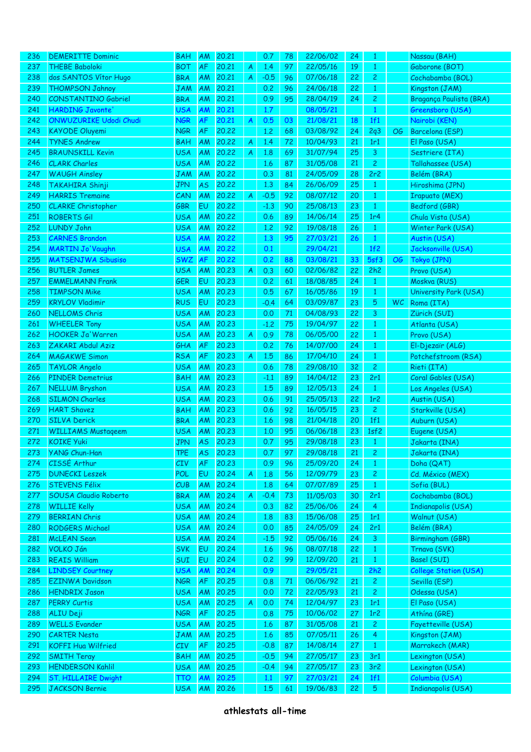| 236 | <b>DEMERITTE Dominic</b>     | <b>BAH</b> | <b>AM</b> | 20,21 |   | 0.7    | 78 | 22/06/02 | 24 | 1              |           | Nassau (BAH)                 |
|-----|------------------------------|------------|-----------|-------|---|--------|----|----------|----|----------------|-----------|------------------------------|
| 237 | <b>THEBE Baboloki</b>        | <b>BOT</b> | <b>AF</b> | 20.21 | A | 1.4    | 97 | 22/05/16 | 19 | $\mathbf{1}$   |           | Gaborone (BOT)               |
| 238 | dos SANTOS Vítor Hugo        | <b>BRA</b> | AM        | 20,21 | A | $-0.5$ | 96 | 07/06/18 | 22 | $\overline{2}$ |           | Cochabamba (BOL)             |
| 239 | <b>THOMPSON Jahnoy</b>       | <b>JAM</b> | AM        | 20,21 |   | 0.2    | 96 | 24/06/18 | 22 | $\mathbf{1}$   |           | Kingston (JAM)               |
| 240 | <b>CONSTANTINO Gabriel</b>   | <b>BRA</b> | AM        | 20,21 |   | 0.9    | 95 | 28/04/19 | 24 | $\overline{2}$ |           | Bragança Paulista (BRA)      |
| 241 | <b>HARDING Javonte</b>       | <b>USA</b> | AM        | 20,21 |   | 1.7    |    | 08/05/21 |    | $\mathbf{1}$   |           | Greensboro (USA)             |
| 242 | ONWUZURIKE Udodi Chudi       | <b>NGR</b> | AF        | 20,21 | A | 0.5    | 03 | 21/08/21 | 18 | 1f1            |           | Nairobi (KEN)                |
| 243 | <b>KAYODE Oluyemi</b>        | <b>NGR</b> | AF        | 20,22 |   | 1.2    | 68 | 03/08/92 | 24 | 2q3            | OG        | Barcelona (ESP)              |
| 244 | <b>TYNES Andrew</b>          | <b>BAH</b> | AM        | 20,22 | A | 1.4    | 72 | 10/04/93 | 21 | 1r1            |           | El Paso (USA)                |
| 245 | <b>BRAUNSKILL Kevin</b>      | <b>USA</b> | AM        | 20,22 | A | 1.8    | 69 | 31/07/94 | 25 | 3              |           | Sestriere (ITA)              |
| 246 | <b>CLARK Charles</b>         | <b>USA</b> | AM        | 20,22 |   | 1.6    | 87 | 31/05/08 | 21 | $\overline{2}$ |           | Tallahassee (USA)            |
| 247 | <b>WAUGH Ainsley</b>         | <b>JAM</b> | AM        | 20,22 |   | 0.3    | 81 | 24/05/09 | 28 | 2r2            |           | Belém (BRA)                  |
| 248 | TAKAHIRA Shinji              | <b>JPN</b> | <b>AS</b> | 20,22 |   | 1.3    | 84 | 26/06/09 | 25 | $\mathbf{1}$   |           | Hiroshima (JPN)              |
| 249 | <b>HARRIS Tremaine</b>       | CAN        | AM        | 20,22 | A | $-0.5$ | 92 | 08/07/12 | 20 | $\mathbf{1}$   |           | <b>Irapuato (MEX)</b>        |
| 250 | <b>CLARKE</b> Christopher    | <b>GBR</b> | EU        | 20,22 |   | $-1.3$ | 90 | 25/08/13 | 23 | $\mathbf{1}$   |           | Bedford (GBR)                |
| 251 | <b>ROBERTS Gil</b>           | <b>USA</b> | AM        | 20,22 |   | 0.6    | 89 | 14/06/14 | 25 | 1r4            |           | Chula Vista (USA)            |
| 252 | <b>LUNDY John</b>            | <b>USA</b> | AM        | 20,22 |   | 1,2    | 92 | 19/08/18 | 26 | $\mathbf{1}$   |           | Winter Park (USA)            |
| 253 | <b>CARNES Brandon</b>        | <b>USA</b> | AM        | 20,22 |   | 1.3    | 95 | 27/03/21 | 26 | $\mathbf{1}$   |           | Austin (USA)                 |
| 254 | <b>MARTIN Jo'Vaughn</b>      | <b>USA</b> | AM        | 20,22 |   | 0.1    |    | 29/04/21 |    | 1f2            |           | Jacksonville (USA)           |
| 255 | <b>MATSENJWA Sibusiso</b>    | <b>SWZ</b> | AF        | 20,22 |   | 0.2    | 88 | 03/08/21 | 33 | 5sf3           | OG        | Tokyo (JPN)                  |
| 256 | <b>BUTLER James</b>          | <b>USA</b> | AM        | 20.23 | A | 0.3    | 60 | 02/06/82 | 22 | 2h2            |           | Provo (USA)                  |
| 257 | <b>EMMELMANN Frank</b>       | <b>GER</b> | EU        | 20.23 |   | 0.2    | 61 | 18/08/85 | 24 | $\mathbf{1}$   |           | Moskva (RUS)                 |
| 258 | <b>TIMPSON Mike</b>          | <b>USA</b> | AM        | 20.23 |   | 0.5    | 67 | 16/05/86 | 19 | $\mathbf{1}$   |           | University Park (USA)        |
| 259 | <b>KRYLOV Vladimir</b>       | <b>RUS</b> | EU        | 20.23 |   | $-0.4$ | 64 | 03/09/87 | 23 | 5              | <b>WC</b> | Roma (ITA)                   |
| 260 | <b>NELLOMS Chris</b>         | <b>USA</b> | AM        | 20.23 |   | 0.0    | 71 | 04/08/93 | 22 | 3              |           | Zürich (SUI)                 |
| 261 | <b>WHEELER Tony</b>          | <b>USA</b> | AM        | 20.23 |   | $-1.2$ | 75 | 19/04/97 | 22 | $\mathbf{1}$   |           | Atlanta (USA)                |
| 262 | <b>HOOKER Ja'Warren</b>      | <b>USA</b> | AM        | 20.23 | A | 0.9    | 78 | 06/05/00 | 22 | $\mathbf{1}$   |           | Provo (USA)                  |
| 263 | ZAKARI Abdul Aziz            | GHA        | AF        | 20.23 |   | 0.2    | 76 | 14/07/00 | 24 | $\mathbf{1}$   |           | El-Djezaïr (ALG)             |
| 264 | <b>MAGAKWE Simon</b>         | <b>RSA</b> | AF        | 20.23 | A | 1.5    | 86 | 17/04/10 | 24 | $\mathbf{1}$   |           | Potchefstroom (RSA)          |
| 265 | <b>TAYLOR Angelo</b>         | <b>USA</b> | AM        | 20.23 |   | 0.6    | 78 | 29/08/10 | 32 | $\overline{2}$ |           | Rieti (ITA)                  |
| 266 | <b>PINDER Demetrius</b>      | <b>BAH</b> | AM        | 20.23 |   | $-1.1$ | 89 | 14/04/12 | 23 | 2r1            |           | Coral Gables (USA)           |
| 267 | <b>NELLUM Bryshon</b>        | <b>USA</b> | AM        | 20.23 |   | 1.5    | 89 | 12/05/13 | 24 | $\mathbf{1}$   |           | Los Angeles (USA)            |
| 268 | <b>SILMON Charles</b>        | <b>USA</b> | AM        | 20.23 |   | 0.6    | 91 | 25/05/13 | 22 | 1r2            |           | Austin (USA)                 |
| 269 | <b>HART Shavez</b>           | <b>BAH</b> | AM        | 20.23 |   | 0.6    | 92 | 16/05/15 | 23 | 2 <sup>1</sup> |           | Starkville (USA)             |
| 270 | <b>SILVA Derick</b>          | <b>BRA</b> | AM        | 20,23 |   | 1.6    | 98 | 21/04/18 | 20 | 1f1            |           | Auburn (USA)                 |
| 271 | <b>WILLIAMS Mustageem</b>    | <b>USA</b> | AM        | 20.23 |   | 1.0    | 95 | 06/06/18 | 23 | 1sf2           |           | Eugene (USA)                 |
| 272 | <b>KOIKE Yuki</b>            | <b>JPN</b> | <b>AS</b> | 20.23 |   | 0.7    | 95 | 29/08/18 | 23 | $\mathbf{1}$   |           | Jakarta (INA)                |
| 273 | YANG Chun-Han                | <b>TPE</b> | <b>AS</b> | 20.23 |   | 0.7    | 97 | 29/08/18 | 21 | $\mathbf{2}$   |           | Jakarta (INA)                |
| 274 | CISSE Arthur                 | CIV        | <b>AF</b> | 20,23 |   | 0.9    | 96 | 25/09/20 | 24 | $\mathbf{1}$   |           | Doha (QAT)                   |
| 275 | <b>DUNECKI Leszek</b>        | POL        | EU        | 20.24 | A | 1.8    | 56 | 12/09/79 | 23 | $\mathbf{2}$   |           | Cd. México (MEX)             |
| 276 | <b>STEVENS Félix</b>         | CUB        | AM        | 20.24 |   | 1.8    | 64 | 07/07/89 | 25 | $\mathbf{1}$   |           | Sofia (BUL)                  |
| 277 | <b>SOUSA Claudio Roberto</b> | <b>BRA</b> | AM        | 20.24 | A | $-0.4$ | 73 | 11/05/03 | 30 | 2r1            |           | Cochabamba (BOL)             |
| 278 | <b>WILLIE Kelly</b>          | <b>USA</b> | AM        | 20.24 |   | 0.3    | 82 | 25/06/06 | 24 | $\overline{4}$ |           | Indianapolis (USA)           |
| 279 | <b>BERRIAN Chris</b>         | <b>USA</b> | AM        | 20.24 |   | 1.8    | 83 | 15/06/08 | 25 | 1r1            |           | Walnut (USA)                 |
| 280 | <b>RODGERS Michael</b>       | <b>USA</b> | AM        | 20,24 |   | 0.0    | 85 | 24/05/09 | 24 | 2r1            |           | Belém (BRA)                  |
| 281 | <b>McLEAN</b> Sean           | <b>USA</b> | AM        | 20,24 |   | $-1.5$ | 92 | 05/06/16 | 24 | 3 <sup>7</sup> |           | Birmingham (GBR)             |
| 282 | <b>VOLKO Ján</b>             | <b>SVK</b> | EU        | 20,24 |   | 1.6    | 96 | 08/07/18 | 22 | $\mathbf{1}$   |           | Trnava (SVK)                 |
| 283 | <b>REAIS William</b>         | SUI        | EU        | 20,24 |   | 0.2    | 99 | 12/09/20 | 21 | $\mathbf{1}$   |           | Basel (SUI)                  |
| 284 | <b>LINDSEY Courtney</b>      | <b>USA</b> | AM        | 20.24 |   | 0.9    |    | 29/05/21 |    | 2h2            |           | <b>College Station (USA)</b> |
| 285 | <b>EZINWA Davidson</b>       | <b>NGR</b> | AF        | 20,25 |   | 0.8    | 71 | 06/06/92 | 21 | 2 <sub>1</sub> |           | Sevilla (ESP)                |
| 286 | <b>HENDRIX Jason</b>         | <b>USA</b> | AM        | 20,25 |   | 0.0    | 72 | 22/05/93 | 21 | $\mathbf{2}$   |           | Odessa (USA)                 |
| 287 | <b>PERRY Curtis</b>          | <b>USA</b> | AM        | 20,25 | A | 0.0    | 74 | 12/04/97 | 23 | 1r1            |           | El Paso (USA)                |
| 288 | ALIU Deji                    | <b>NGR</b> | AF        | 20,25 |   | 0.8    | 75 | 10/06/02 | 27 | 1r2            |           | Athína (GRE)                 |
| 289 | <b>WELLS Evander</b>         | <b>USA</b> | AM        | 20,25 |   | 1.6    | 87 | 31/05/08 | 21 | 2 <sup>1</sup> |           | Fayetteville (USA)           |
| 290 | <b>CARTER Nesta</b>          | <b>JAM</b> | AM        | 20,25 |   | 1.6    | 85 | 07/05/11 | 26 | $\overline{4}$ |           | Kingston (JAM)               |
| 291 | <b>KOFFI Hua Wilfried</b>    | CIV        | AF        | 20,25 |   | $-0.8$ | 87 | 14/08/14 | 27 | $\mathbf{1}$   |           | Marrakech (MAR)              |
| 292 | <b>SMITH Teray</b>           | <b>BAH</b> | <b>AM</b> | 20,25 |   | $-0.5$ | 94 | 27/05/17 | 23 | 3r1            |           | Lexington (USA)              |
| 293 | <b>HENDERSON Kahlil</b>      | <b>USA</b> | <b>AM</b> | 20,25 |   | $-0.4$ | 94 | 27/05/17 | 23 | 3r2            |           | Lexington (USA)              |
| 294 | <b>ST. HILLAIRE Dwight</b>   | тто        | AM        | 20.25 |   | 1.1    | 97 | 27/03/21 | 24 | 1f1            |           | Columbia (USA)               |
| 295 | <b>JACKSON Bernie</b>        | <b>USA</b> | AM        | 20.26 |   | 1.5    | 61 | 19/06/83 | 22 | 5 <sub>5</sub> |           | Indianapolis (USA)           |
|     |                              |            |           |       |   |        |    |          |    |                |           |                              |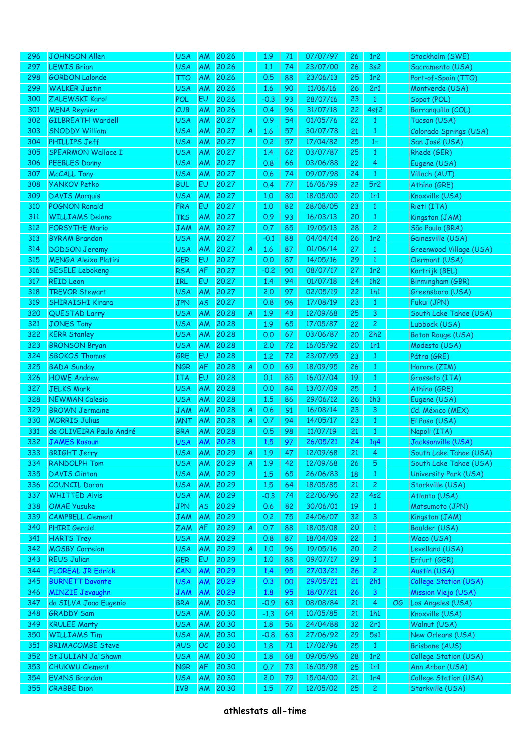| 296 | <b>JOHNSON Allen</b>        | <b>USA</b> | <b>AM</b> | 20.26 |              | 1.9    | 71 | 07/07/97 | 26 | 1r <sub>2</sub> |    | Stockholm (SWE)              |
|-----|-----------------------------|------------|-----------|-------|--------------|--------|----|----------|----|-----------------|----|------------------------------|
| 297 | <b>LEWIS Brian</b>          | <b>USA</b> | AM        | 20.26 |              | 1.1    | 74 | 23/07/00 | 26 | 3s2             |    | Sacramento (USA)             |
| 298 | <b>GORDON Lalonde</b>       | <b>TTO</b> | AM        | 20.26 |              | 0.5    | 88 | 23/06/13 | 25 | 1r2             |    | Port-of-Spain (TTO)          |
| 299 | <b>WALKER Justin</b>        | <b>USA</b> | AM        | 20.26 |              | 1.6    | 90 | 11/06/16 | 26 | 2r1             |    | Montverde (USA)              |
| 300 | ZALEWSKI Karol              | POL        | EU        | 20.26 |              | $-0.3$ | 93 | 28/07/16 | 23 | $\mathbf{1}$    |    | Sopot (POL)                  |
| 301 | <b>MENA Reynier</b>         | CUB        | AM        | 20.26 |              | 0.4    | 96 | 31/07/18 | 22 | 4sf2            |    | Barranquilla (COL)           |
| 302 | <b>GILBREATH Wardell</b>    | <b>USA</b> | AM        | 20,27 |              | 0.9    | 54 | 01/05/76 | 22 | $\mathbf{1}$    |    | Tucson (USA)                 |
| 303 | <b>SNODDY William</b>       | <b>USA</b> | AM        | 20.27 | A            | 1.6    | 57 | 30/07/78 | 21 | $\mathbf{1}$    |    | Colorado Springs (USA)       |
| 304 | PHILLIPS Jeff               | <b>USA</b> | AM        | 20.27 |              | 0.2    | 57 | 17/04/82 | 25 | $1=$            |    | San José (USA)               |
| 305 | <b>SPEARMON Wallace I</b>   | <b>USA</b> | AM        | 20,27 |              | 1.4    | 62 | 03/07/87 | 25 | $\mathbf{1}$    |    | Rhede (GER)                  |
| 306 | <b>PEEBLES Danny</b>        | <b>USA</b> | AM        | 20,27 |              | 0.8    | 66 | 03/06/88 | 22 | 4               |    | Eugene (USA)                 |
| 307 | <b>McCALL Tony</b>          | <b>USA</b> | AM        | 20.27 |              | 0.6    | 74 | 09/07/98 | 24 | $\mathbf{1}$    |    | Villach (AUT)                |
| 308 | <b>YANKOV Petko</b>         | <b>BUL</b> | EU        | 20,27 |              | 0.4    | 77 | 16/06/99 | 22 | 5r2             |    | Athína (GRE)                 |
|     |                             | <b>USA</b> |           | 20.27 |              |        |    |          |    |                 |    |                              |
| 309 | <b>DAVIS Marquis</b>        |            | AM        |       |              | 1,0    | 80 | 18/05/00 | 20 | 1r1             |    | Knoxville (USA)              |
| 310 | <b>POGNON Ronald</b>        | <b>FRA</b> | EU        | 20,27 |              | 1,0    | 82 | 28/08/05 | 23 | $\mathbf{1}$    |    | Rieti (ITA)                  |
| 311 | <b>WILLIAMS Delano</b>      | <b>TKS</b> | AM        | 20.27 |              | 0.9    | 93 | 16/03/13 | 20 | 1               |    | Kingston (JAM)               |
| 312 | <b>FORSYTHE Mario</b>       | <b>JAM</b> | AM        | 20.27 |              | 0.7    | 85 | 19/05/13 | 28 | $\mathbf{2}$    |    | São Paulo (BRA)              |
| 313 | <b>BYRAM Brandon</b>        | <b>USA</b> | AM        | 20,27 |              | $-0.1$ | 88 | 04/04/14 | 26 | 1r2             |    | Gainesville (USA)            |
| 314 | <b>DODSON Jeremy</b>        | <b>USA</b> | AM        | 20,27 | A            | 1.6    | 87 | 01/06/14 | 27 | $\mathbf{1}$    |    | Greenwood Village (USA)      |
| 315 | <b>MENGA Aleixo Platini</b> | <b>GER</b> | EU        | 20,27 |              | 0.0    | 87 | 14/05/16 | 29 | $\mathbf{1}$    |    | Clermont (USA)               |
| 316 | <b>SESELE Lebokeng</b>      | <b>RSA</b> | AF        | 20,27 |              | $-0.2$ | 90 | 08/07/17 | 27 | 1r2             |    | Kortrijk (BEL)               |
| 317 | <b>REID Leon</b>            | IRL        | EU        | 20,27 |              | 1.4    | 94 | 01/07/18 | 24 | 1h2             |    | Birmingham (GBR)             |
| 318 | <b>TREVOR Stewart</b>       | <b>USA</b> | AM        | 20,27 |              | 2.0    | 97 | 02/05/19 | 22 | 1h1             |    | Greensboro (USA)             |
| 319 | <b>SHIRAISHI Kirara</b>     | <b>JPN</b> | <b>AS</b> | 20,27 |              | 0.8    | 96 | 17/08/19 | 23 | $\mathbf{1}$    |    | Fukui (JPN)                  |
| 320 | <b>QUESTAD Larry</b>        | <b>USA</b> | AM        | 20,28 | A            | 1.9    | 43 | 12/09/68 | 25 | 3               |    | South Lake Tahoe (USA)       |
| 321 | <b>JONES Tony</b>           | <b>USA</b> | AM        | 20,28 |              | 1.9    | 65 | 17/05/87 | 22 | $\mathbf{2}$    |    | Lubbock (USA)                |
| 322 | <b>KERR Stanley</b>         | <b>USA</b> | AM        | 20,28 |              | 0.0    | 67 | 03/06/87 | 20 | 2h2             |    | <b>Baton Rouge (USA)</b>     |
| 323 | <b>BRONSON Bryan</b>        | <b>USA</b> | AM        | 20,28 |              | 2.0    | 72 | 16/05/92 | 20 | 1r1             |    | Modesto (USA)                |
| 324 | <b>SBOKOS Thomas</b>        | GRE        | EU        | 20,28 |              | 1,2    | 72 | 23/07/95 | 23 | $\mathbf{1}$    |    | Pátra (GRE)                  |
| 325 | <b>BADA Sunday</b>          | <b>NGR</b> | AF        | 20,28 | A            | 0.0    | 69 | 18/09/95 | 26 | 1               |    | Harare (ZIM)                 |
| 326 | <b>HOWE Andrew</b>          | <b>ITA</b> | EU        | 20,28 |              | 0.1    | 85 | 16/07/04 | 19 | 1               |    | Grosseto (ITA)               |
| 327 | <b>JELKS Mark</b>           | <b>USA</b> | AM        | 20,28 |              | 0.0    | 84 | 13/07/09 | 25 | $\mathbf{1}$    |    | Athína (GRE)                 |
| 328 | <b>NEWMAN Calesio</b>       | <b>USA</b> | AM        | 20,28 |              | 1.5    | 86 | 29/06/12 | 26 | 1h3             |    | Eugene (USA)                 |
| 329 | <b>BROWN Jermaine</b>       | <b>JAM</b> | AM        | 20,28 | A            | 0.6    | 91 | 16/08/14 | 23 | 3               |    | Cd. México (MEX)             |
| 330 | <b>MORRIS Julius</b>        | <b>MNT</b> | AM        | 20,28 | A            | 0.7    | 94 | 14/05/17 | 23 | $\mathbf{1}$    |    | El Paso (USA)                |
| 331 | de OLIVEIRA Paulo André     | <b>BRA</b> | AM        | 20,28 |              | 0.5    | 98 | 11/07/19 | 21 | $\mathbf{1}$    |    | Napoli (ITA)                 |
| 332 | <b>JAMES Kasaun</b>         | <b>USA</b> | AM        | 20.28 |              | 1.5    | 97 | 26/05/21 | 24 |                 |    | Jacksonville (USA)           |
|     |                             |            |           |       |              |        |    |          |    | 1q <sub>4</sub> |    |                              |
| 333 | <b>BRIGHT Jerry</b>         | <b>USA</b> | AM        | 20.29 | $\mathsf{A}$ | 1.9    | 47 | 12/09/68 | 21 | $\overline{4}$  |    | South Lake Tahoe (USA)       |
| 334 | <b>RANDOLPH Tom</b>         | <b>USA</b> | AM        | 20,29 | A            | 1.9    | 42 | 12/09/68 | 26 | 5 <sub>5</sub>  |    | South Lake Tahoe (USA)       |
| 335 | <b>DAVIS Clinton</b>        | <b>USA</b> | AM        | 20.29 |              | 1.5    | 65 | 26/06/83 | 18 | $\mathbf{1}$    |    | University Park (USA)        |
| 336 | <b>COUNCIL Daron</b>        | <b>USA</b> | AM        | 20.29 |              | 1.5    | 64 | 18/05/85 | 21 | 2 <sup>1</sup>  |    | Starkville (USA)             |
| 337 | <b>WHITTED Alvis</b>        | <b>USA</b> | AM        | 20.29 |              | $-0.3$ | 74 | 22/06/96 | 22 | 4s2             |    | Atlanta (USA)                |
| 338 | <b>OMAE Yusuke</b>          | <b>JPN</b> | <b>AS</b> | 20.29 |              | 0.6    | 82 | 30/06/01 | 19 | $\mathbf{1}$    |    | Matsumoto (JPN)              |
| 339 | <b>CAMPBELL Clement</b>     | <b>JAM</b> | AM        | 20,29 |              | 0.2    | 75 | 24/06/07 | 32 | $\mathbf{3}$    |    | Kingston (JAM)               |
| 340 | PHIRI Gerald                | ZAM        | AF        | 20,29 | A            | 0.7    | 88 | 18/05/08 | 20 | $\mathbf{1}$    |    | Boulder (USA)                |
| 341 | <b>HARTS Trey</b>           | <b>USA</b> | AM        | 20,29 |              | 0.8    | 87 | 18/04/09 | 22 | $\mathbf{1}$    |    | Waco (USA)                   |
| 342 | <b>MOSBY Correion</b>       | <b>USA</b> | AM        | 20.29 | A            | 1,0    | 96 | 19/05/16 | 20 | $\mathbf{2}$    |    | Levelland (USA)              |
| 343 | <b>REUS Julian</b>          | <b>GER</b> | EU        | 20.29 |              | $1.0$  | 88 | 09/07/17 | 29 | $\mathbf{1}$    |    | Erfurt (GER)                 |
| 344 | <b>FLORÉAL JR Edrick</b>    | CAN        | AM        | 20.29 |              | 1.4    | 95 | 27/03/21 | 26 | $\mathbf{2}$    |    | Austin (USA)                 |
| 345 | <b>BURNETT Davonte</b>      | <b>USA</b> | AM        | 20.29 |              | 0.3    | 00 | 29/05/21 | 21 | 2h1             |    | <b>College Station (USA)</b> |
| 346 | <b>MINZIE Jevaughn</b>      | <b>JAM</b> | AM        | 20.29 |              | 1.8    | 95 | 18/07/21 | 26 | $\mathbf{3}$    |    | Mission Viejo (USA)          |
| 347 | da SILVA Joao Eugenio       | <b>BRA</b> | AM        | 20,30 |              | $-0.9$ | 63 | 08/08/84 | 21 | $\overline{4}$  | OG | Los Angeles (USA)            |
| 348 | <b>GRADDY Sam</b>           | <b>USA</b> | AM        | 20,30 |              | $-1.3$ | 64 | 10/05/85 | 21 | 1h1             |    | Knoxville (USA)              |
| 349 | <b>KRULEE Marty</b>         | <b>USA</b> | AM        | 20,30 |              | 1.8    | 56 | 24/04/88 | 32 | 2r1             |    | Walnut (USA)                 |
| 350 | <b>WILLIAMS Tim</b>         | <b>USA</b> | AM        | 20,30 |              | $-0.8$ | 63 | 27/06/92 | 29 | 5s1             |    | New Orleans (USA)            |
| 351 | <b>BRIMACOMBE Steve</b>     | <b>AUS</b> | OC        | 20,30 |              | 1.8    | 71 | 17/02/96 | 25 | $\mathbf{1}$    |    | <b>Brisbane (AUS)</b>        |
| 352 | St.JULIAN Ja'Shawn          | <b>USA</b> | AM        | 20,30 |              | 1.8    | 68 | 09/05/96 | 28 | 1r2             |    | College Station (USA)        |
| 353 | <b>CHUKWU Clement</b>       | <b>NGR</b> | AF        | 20,30 |              | 0.7    | 73 | 16/05/98 | 25 | 1r1             |    | Ann Arbor (USA)              |
| 354 | <b>EVANS Brandon</b>        | <b>USA</b> | AM        | 20,30 |              | 2.0    | 79 | 15/04/00 | 21 | 1r4             |    | College Station (USA)        |
| 355 |                             |            |           |       |              |        |    |          |    |                 |    |                              |
|     | <b>CRABBE</b> Dion          | <b>IVB</b> | AM        | 20,30 |              | 1.5    | 77 | 12/05/02 | 25 | $\mathbf{2}$    |    | Starkville (USA)             |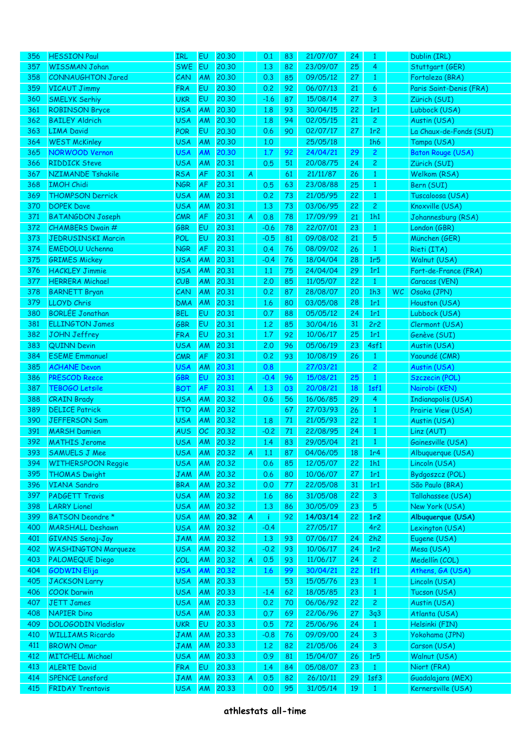| 356 | <b>HESSION Paul</b>        | IRL        | EU        | 20,30    |   | 0.1    | 83 | 21/07/07 | 24 | 1              |     | Dublin (IRL)              |
|-----|----------------------------|------------|-----------|----------|---|--------|----|----------|----|----------------|-----|---------------------------|
| 357 | <b>WISSMAN Johan</b>       | <b>SWE</b> | EU        | 20,30    |   | 1.3    | 82 | 23/09/07 | 25 | 4              |     | Stuttgart (GER)           |
| 358 | <b>CONNAUGHTON Jared</b>   | CAN        | AM        | 20,30    |   | 0.3    | 85 | 09/05/12 | 27 | $\mathbf{1}$   |     | Fortaleza (BRA)           |
| 359 | <b>VICAUT Jimmy</b>        | <b>FRA</b> | EU        | 20,30    |   | 0.2    | 92 | 06/07/13 | 21 | 6              |     | Paris Saint-Denis (FRA)   |
| 360 | <b>SMELYK Serhiy</b>       | <b>UKR</b> | EU        | 20,30    |   | $-1.6$ | 87 | 15/08/14 | 27 | 3              |     | Zürich (SUI)              |
| 361 | <b>ROBINSON Bryce</b>      | <b>USA</b> | AM        | 20,30    |   | 1.8    | 93 | 30/04/15 | 22 | 1r1            |     | Lubbock (USA)             |
| 362 | <b>BAILEY Aldrich</b>      | <b>USA</b> | AM        | 20,30    |   | 1.8    | 94 | 02/05/15 | 21 | $\overline{2}$ |     | Austin (USA)              |
| 363 | <b>LIMA David</b>          | <b>POR</b> | EU        | 20,30    |   | 0.6    | 90 | 02/07/17 | 27 | 1r2            |     | La Chaux-de-Fonds (SUI)   |
| 364 | <b>WEST McKinley</b>       | <b>USA</b> | AM        | 20,30    |   | 1.0    |    | 25/05/18 |    | 1h6            |     | Tampa (USA)               |
| 365 | <b>NORWOOD Vernon</b>      | <b>USA</b> | AM        | 20,30    |   | 1.7    | 92 | 24/04/21 | 29 | $\overline{2}$ |     | <b>Baton Rouge (USA)</b>  |
| 366 | <b>RIDDICK Steve</b>       | <b>USA</b> | AM        | 20.31    |   | 0.5    | 51 | 20/08/75 | 24 | $\mathbf{2}$   |     | Zürich (SUI)              |
| 367 | <b>NZIMANDE Tshakile</b>   | <b>RSA</b> | AF        | 20.31    |   |        | 61 | 21/11/87 | 26 |                |     | Welkom (RSA)              |
|     |                            |            |           |          | A |        |    |          |    | $\mathbf{1}$   |     |                           |
| 368 | <b>IMOH Chidi</b>          | <b>NGR</b> | AF        | 20.31    |   | 0.5    | 63 | 23/08/88 | 25 | $\mathbf{1}$   |     | Bern (SUI)                |
| 369 | <b>THOMPSON Derrick</b>    | <b>USA</b> | AM        | 20.31    |   | 0.2    | 73 | 21/05/95 | 22 | $\mathbf{1}$   |     | Tuscaloosa (USA)          |
| 370 | <b>DOPEK Dave</b>          | <b>USA</b> | AM        | 20.31    |   | 1.3    | 73 | 03/06/95 | 22 | $\mathbf{2}$   |     | Knoxville (USA)           |
| 371 | <b>BATANGDON Joseph</b>    | CMR        | AF        | 20.31    | A | 0.8    | 78 | 17/09/99 | 21 | 1h1            |     | Johannesburg (RSA)        |
| 372 | <b>CHAMBERS Dwain #</b>    | <b>GBR</b> | EU        | 20.31    |   | $-0.6$ | 78 | 22/07/01 | 23 | $\mathbf{1}$   |     | London (GBR)              |
| 373 | <b>JEDRUSINSKI Marcin</b>  | POL        | EU        | 20.31    |   | $-0.5$ | 81 | 09/08/02 | 21 | 5              |     | München (GER)             |
| 374 | <b>EMEDOLU Uchenna</b>     | <b>NGR</b> | AF        | 20.31    |   | 0.4    | 76 | 08/09/02 | 26 | $\mathbf{1}$   |     | Rieti (ITA)               |
| 375 | <b>GRIMES Mickey</b>       | <b>USA</b> | AM        | 20.31    |   | $-0.4$ | 76 | 18/04/04 | 28 | 1r5            |     | Walnut (USA)              |
| 376 | <b>HACKLEY Jimmie</b>      | <b>USA</b> | AM        | 20.31    |   | 1.1    | 75 | 24/04/04 | 29 | 1r1            |     | Fort-de-France (FRA)      |
| 377 | <b>HERRERA</b> Michael     | CUB        | AM        | 20.31    |   | 2.0    | 85 | 11/05/07 | 22 | $\mathbf{1}$   |     | Caracas (VEN)             |
| 378 | <b>BARNETT Bryan</b>       | CAN        | AM        | 20.31    |   | 0.2    | 87 | 28/08/07 | 20 | 1h3            | WC. | Osaka (JPN)               |
| 379 | <b>LLOYD Chris</b>         | <b>DMA</b> | AM        | 20.31    |   | 1.6    | 80 | 03/05/08 | 28 | 1r1            |     | Houston (USA)             |
| 380 | <b>BORLÉE Jonathan</b>     | <b>BEL</b> | EU        | 20.31    |   | 0.7    | 88 | 05/05/12 | 24 | 1r1            |     | Lubbock (USA)             |
| 381 | <b>ELLINGTON James</b>     | <b>GBR</b> | EU        | 20.31    |   | 1,2    | 85 | 30/04/16 | 31 | 2r2            |     | Clermont (USA)            |
| 382 | <b>JOHN Jeffrey</b>        | <b>FRA</b> | EU        | 20.31    |   | 1.7    | 92 | 10/06/17 | 25 | 1r1            |     | Genève (SUI)              |
| 383 | <b>QUINN Devin</b>         | <b>USA</b> | AM        | 20.31    |   | 2.0    | 96 | 05/06/19 | 23 | 4sf1           |     | Austin (USA)              |
| 384 | <b>ESEME Emmanuel</b>      | CMR        | AF        | 20.31    |   | 0.2    | 93 | 10/08/19 | 26 | $\mathbf{1}$   |     | Yaoundé (CMR)             |
| 385 | <b>ACHANE Devon</b>        | <b>USA</b> | AM        | 20.31    |   | 0.8    |    | 27/03/21 |    | $\overline{c}$ |     | Austin (USA)              |
| 386 | <b>PRESCOD Reece</b>       | <b>GBR</b> | EU        | 20.31    |   |        |    | 15/08/21 | 25 | $\mathbf{1}$   |     | Szczecin (POL)            |
|     |                            |            |           |          |   | $-0.4$ | 96 |          |    |                |     |                           |
| 387 | TEBOGO Letsile             | <b>BOT</b> | AF        | 20.31    | A | 1.3    | 03 | 20/08/21 | 18 | 1sf1           |     | Nairobi (KEN)             |
| 388 | <b>CRAIN Brady</b>         | <b>USA</b> | AM        | 20.32    |   | 0.6    | 56 | 16/06/85 | 29 | 4              |     | <b>Indianapolis (USA)</b> |
| 389 | <b>DELICE Patrick</b>      | <b>TTO</b> | AM        | 20.32    |   |        | 67 | 27/03/93 | 26 | $\mathbf{1}$   |     | Prairie View (USA)        |
| 390 | <b>JEFFERSON Sam</b>       | <b>USA</b> | AM        | 20.32    |   | 1.8    | 71 | 21/05/93 | 22 | $\mathbf{1}$   |     | Austin (USA)              |
| 391 | <b>MARSH Damien</b>        | <b>AUS</b> | OC        | 20.32    |   | $-0.2$ | 71 | 22/08/95 | 24 | $\mathbf{1}$   |     | Linz (AUT)                |
| 392 | <b>MATHIS Jerome</b>       | <b>USA</b> | AM        | 20.32    |   | 1.4    | 83 | 29/05/04 | 21 | $\mathbf{1}$   |     | Gainesville (USA)         |
| 393 | <b>SAMUELS J Mee</b>       | <b>USA</b> |           | AM 20.32 | A | 1.1    | 87 | 04/06/05 | 18 | 1r4            |     | Albuquerque (USA)         |
| 394 | <b>WITHERSPOON Reggie</b>  | <b>USA</b> | AM        | 20,32    |   | 0.6    | 85 | 12/05/07 | 22 | 1h1            |     | Lincoln (USA)             |
| 395 | <b>THOMAS Dwight</b>       | <b>JAM</b> | AM        | 20,32    |   | 0.6    | 80 | 10/06/07 | 27 | 1r1            |     | Bydgoszcz (POL)           |
| 396 | <b>VIANA Sandro</b>        | <b>BRA</b> | <b>AM</b> | 20.32    |   | 0.0    | 77 | 22/05/08 | 31 | 1r1            |     | São Paulo (BRA)           |
| 397 | <b>PADGETT Travis</b>      | <b>USA</b> | AM        | 20.32    |   | 1.6    | 86 | 31/05/08 | 22 | 3              |     | Tallahassee (USA)         |
| 398 | <b>LARRY Lionel</b>        | <b>USA</b> | AM        | 20,32    |   | 1.3    | 86 | 30/05/09 | 23 | $\sqrt{5}$     |     | New York (USA)            |
| 399 | BATSON Deondre *           | <b>USA</b> | AM        | 20.32    | A | -i.    | 92 | 14/03/14 | 22 | 1r2            |     | Albuquerque (USA)         |
| 400 | <b>MARSHALL Deshawn</b>    | <b>USA</b> | AM        | 20,32    |   | $-0.4$ |    | 27/05/17 |    | 4r2            |     | Lexington (USA)           |
| 401 | GIVANS Senoj-Jay           | <b>JAM</b> | AM        | 20,32    |   | 1.3    | 93 | 07/06/17 | 24 | 2h2            |     | Eugene (USA)              |
| 402 | <b>WASHINGTON Marqueze</b> | <b>USA</b> | AM        | 20,32    |   | $-0.2$ | 93 | 10/06/17 | 24 | 1r2            |     | Mesa (USA)                |
| 403 | <b>PALOMEQUE Diego</b>     | COL        | AM        | 20.32    | A | 0.5    | 93 | 11/06/17 | 24 | $\overline{2}$ |     | Medellín (COL)            |
| 404 | <b>GODWIN Elija</b>        | <b>USA</b> | AM        | 20.32    |   | 1.6    | 99 | 30/04/21 | 22 | 1f1            |     | Athens, GA (USA)          |
| 405 | <b>JACKSON Larry</b>       | <b>USA</b> | AM        | 20.33    |   |        | 53 | 15/05/76 | 23 | $\mathbf{1}$   |     | Lincoln (USA)             |
|     |                            |            |           | 20.33    |   |        |    |          |    |                |     |                           |
| 406 | <b>COOK Darwin</b>         | <b>USA</b> | AM        |          |   | $-1.4$ | 62 | 18/05/85 | 23 | $\mathbf{1}$   |     | Tucson (USA)              |
| 407 | <b>JETT James</b>          | <b>USA</b> | AM        | 20.33    |   | 0.2    | 70 | 06/06/92 | 22 | $\mathbf{2}$   |     | Austin (USA)              |
| 408 | <b>NAPIER Dino</b>         | <b>USA</b> | AM        | 20.33    |   | 0.7    | 69 | 22/06/96 | 27 | 3q3            |     | Atlanta (USA)             |
| 409 | <b>DOLOGODIN Vladislav</b> | <b>UKR</b> | EU        | 20.33    |   | 0.5    | 72 | 25/06/96 | 24 | $\mathbf{1}$   |     | Helsinki (FIN)            |
| 410 | <b>WILLIAMS Ricardo</b>    | <b>JAM</b> | AM        | 20.33    |   | $-0.8$ | 76 | 09/09/00 | 24 | 3              |     | Yokohama (JPN)            |
| 411 | <b>BROWN Omar</b>          | <b>JAM</b> | AM        | 20,33    |   | 1,2    | 82 | 21/05/06 | 24 | 3              |     | Carson (USA)              |
| 412 | <b>MITCHELL Michael</b>    | <b>USA</b> | AM        | 20.33    |   | 0.9    | 81 | 15/04/07 | 26 | 1r5            |     | Walnut (USA)              |
| 413 | <b>ALERTE David</b>        | <b>FRA</b> | EU        | 20.33    |   | 1.4    | 84 | 05/08/07 | 23 | $\mathbf{1}$   |     | Niort (FRA)               |
| 414 | <b>SPENCE Lansford</b>     | <b>JAM</b> | AM        | 20,33    | A | 0.5    | 82 | 26/10/11 | 29 | 1sf3           |     | Guadalajara (MEX)         |
| 415 | <b>FRIDAY Trentavis</b>    | <b>USA</b> | AM        | 20.33    |   | 0.0    | 95 | 31/05/14 | 19 | $\mathbf{1}$   |     | Kernersville (USA)        |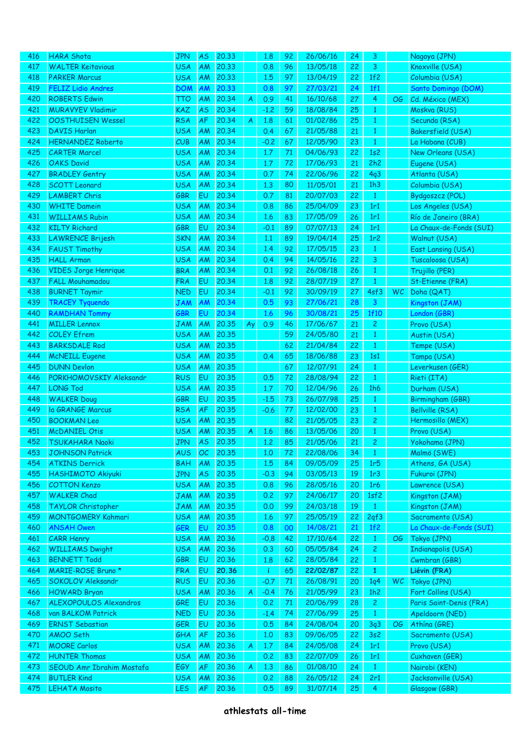| 416 | <b>HARA Shota</b>                            | <b>JPN</b> | AS        | 20.33 |    | 1.8    | 92     | 26/06/16 | 24 | 3              |           | Nagoya (JPN)            |
|-----|----------------------------------------------|------------|-----------|-------|----|--------|--------|----------|----|----------------|-----------|-------------------------|
| 417 | <b>WALTER Keitavious</b>                     | <b>USA</b> | AM        | 20,33 |    | 0.8    | 96     | 13/05/18 | 22 | 3              |           | Knoxville (USA)         |
| 418 | <b>PARKER Marcus</b>                         | <b>USA</b> | AM        | 20,33 |    | 1.5    | 97     | 13/04/19 | 22 | 1f2            |           | Columbia (USA)          |
| 419 | <b>FELIZ Lidio Andres</b>                    | <b>DOM</b> | AM        | 20.33 |    | 0.8    | 97     | 27/03/21 | 24 | 1f1            |           | Santo Domingo (DOM)     |
| 420 | <b>ROBERTS Edwin</b>                         | <b>TTO</b> | AM        | 20.34 | A  | 0.9    | 41     | 16/10/68 | 27 | 4              | OG.       | Cd. México (MEX)        |
| 421 | <b>MURAVYEV Vladimir</b>                     | <b>KAZ</b> | <b>AS</b> | 20.34 |    | $-1.2$ | 59     | 18/08/84 | 25 | 1              |           | Moskva (RUS)            |
| 422 | <b>OOSTHUISEN Wessel</b>                     | <b>RSA</b> | AF        | 20.34 | A  | 1.8    | 61     | 01/02/86 | 25 | 1              |           | Secunda (RSA)           |
| 423 | <b>DAVIS Harlan</b>                          | <b>USA</b> | AM        | 20,34 |    | 0.4    | 67     | 21/05/88 | 21 | 1              |           | Bakersfield (USA)       |
| 424 | <b>HERNANDEZ Roberto</b>                     | CUB        | AM        | 20.34 |    | $-0.2$ | 67     | 12/05/90 | 23 | $\mathbf{1}$   |           | La Habana (CUB)         |
| 425 | <b>CARTER Marcel</b>                         | <b>USA</b> | AM        | 20.34 |    | 1.7    | 71     | 04/06/93 | 22 | 1s2            |           | New Orleans (USA)       |
| 426 | <b>OAKS David</b>                            | <b>USA</b> | AM        | 20.34 |    | 1.7    | 72     | 17/06/93 | 21 | 2h2            |           | Eugene (USA)            |
| 427 | <b>BRADLEY Gentry</b>                        | <b>USA</b> | AM        | 20.34 |    | 0.7    | 74     | 22/06/96 | 22 | 4q3            |           | Atlanta (USA)           |
| 428 | <b>SCOTT Leonard</b>                         | <b>USA</b> | AM        | 20.34 |    | 1.3    | 80     | 11/05/01 | 21 | 1h3            |           | Columbia (USA)          |
| 429 | <b>LAMBERT Chris</b>                         | <b>GBR</b> | EU        | 20.34 |    | 0.7    | 81     | 20/07/03 | 22 | $\mathbf{1}$   |           | Bydgoszcz (POL)         |
| 430 | <b>WHITE Damein</b>                          | <b>USA</b> | AM        | 20.34 |    | 0.8    | 86     | 25/04/09 | 23 | 1r1            |           | Los Angeles (USA)       |
| 431 | <b>WILLIAMS Rubin</b>                        | <b>USA</b> | AM        | 20.34 |    | 1.6    | 83     | 17/05/09 | 26 | 1r1            |           | Río de Janeiro (BRA)    |
| 432 | <b>KILTY Richard</b>                         | <b>GBR</b> | EU        | 20.34 |    | $-0.1$ | 89     | 07/07/13 | 24 | 1r1            |           | La Chaux-de-Fonds (SUI) |
| 433 | <b>LAWRENCE Brijesh</b>                      | <b>SKN</b> | AM        | 20.34 |    | 1.1    | 89     | 19/04/14 | 25 | 1r2            |           | Walnut (USA)            |
| 434 | <b>FAUST Timothy</b>                         | <b>USA</b> | AM        | 20.34 |    | 1.4    | 92     | 17/05/15 | 23 | $\mathbf{1}$   |           | East Lansing (USA)      |
| 435 | <b>HALL Arman</b>                            | <b>USA</b> | AM        | 20.34 |    | 0.4    | 94     | 14/05/16 | 22 | 3              |           | Tuscaloosa (USA)        |
| 436 | <b>VIDES Jorge Henrique</b>                  | <b>BRA</b> | AM        | 20.34 |    | 0.1    | 92     | 26/08/18 | 26 | 1              |           | Trujillo (PER)          |
| 437 | <b>FALL Mouhamadou</b>                       | <b>FRA</b> | EU        | 20.34 |    | 1.8    | 92     | 28/07/19 | 27 | 1              |           | St-Etienne (FRA)        |
| 438 | <b>BURNET Taymir</b>                         | <b>NED</b> | EU        | 20.34 |    | $-0.1$ | 92     | 30/09/19 | 27 | 4sf3           | <b>WC</b> | Doha (QAT)              |
| 439 | TRACEY Tyquendo                              | JAM        | AM        | 20.34 |    | 0.5    | 93     | 27/06/21 | 28 | 3              |           | Kingston (JAM)          |
| 440 |                                              | <b>GBR</b> | EU        | 20.34 |    | 1.6    | 96     | 30/08/21 | 25 | 1f10           |           | London (GBR)            |
| 441 | <b>RAMDHAN Tommy</b><br><b>MILLER Lennox</b> | <b>JAM</b> | AM        | 20.35 |    | 0.9    | 46     | 17/06/67 | 21 | $\overline{c}$ |           | Provo (USA)             |
|     |                                              |            |           |       | Ay |        |        | 24/05/80 |    |                |           |                         |
| 442 | <b>COLEY Efrem</b>                           | <b>USA</b> | AM        | 20.35 |    |        | 59     |          | 21 | $\mathbf{1}$   |           | Austin (USA)            |
| 443 | <b>BARKSDALE Rod</b>                         | <b>USA</b> | AM        | 20.35 |    |        | 62     | 21/04/84 | 22 | $\mathbf{1}$   |           | Tempe (USA)             |
| 444 | <b>McNEILL Eugene</b>                        | <b>USA</b> | AM        | 20.35 |    | 0.4    | 65     | 18/06/88 | 23 | 1s1            |           | Tampa (USA)             |
| 445 | <b>DUNN Devlon</b>                           | <b>USA</b> | AM        | 20.35 |    |        | 67     | 12/07/91 | 24 | $\mathbf{1}$   |           | Leverkusen (GER)        |
| 446 | PORKHOMOVSKIY Aleksandr                      | <b>RUS</b> | EU        | 20.35 |    | 0.5    | 72     | 28/08/94 | 22 | $\mathbf{1}$   |           | Rieti (ITA)             |
| 447 | <b>LONG Tod</b>                              | <b>USA</b> | AM        | 20.35 |    | 1.7    | 70     | 12/04/96 | 26 | 1h6            |           | Durham (USA)            |
| 448 | <b>WALKER Doug</b>                           | GBR        | EU        | 20.35 |    | $-1.5$ | 73     | 26/07/98 | 25 | $\mathbf{1}$   |           | Birmingham (GBR)        |
| 449 | la GRANGE Marcus                             | <b>RSA</b> | AF        | 20.35 |    | $-0.6$ | 77     | 12/02/00 | 23 | $\mathbf{1}$   |           | <b>Bellville (RSA)</b>  |
| 450 | <b>BOOKMAN Leo</b>                           | <b>USA</b> | AM        | 20.35 |    |        | 82     | 21/05/05 | 23 | $\overline{c}$ |           | Hermosillo (MEX)        |
| 451 | <b>McDANIEL Otis</b>                         | <b>USA</b> | AM        | 20,35 | A  | 1.6    | 86     | 13/05/06 | 20 | $\mathbf{1}$   |           | Provo (USA)             |
| 452 | TSUKAHARA Naoki                              | <b>JPN</b> | <b>AS</b> | 20,35 |    | 1,2    | 85     | 21/05/06 | 21 | 2              |           | Yokohama (JPN)          |
| 453 | <b>JOHNSON Patrick</b>                       | AUS        | OC        | 20,35 |    | 1,0    | 72     | 22/08/06 | 34 | $\mathbf{1}$   |           | Malmö (SWE)             |
| 454 | <b>ATKINS Derrick</b>                        | <b>BAH</b> | AM        | 20,35 |    | 1.5    | 84     | 09/05/09 | 25 | 1r5            |           | Athens, GA (USA)        |
| 455 | <b>HASHIMOTO Akiyuki</b>                     | <b>JPN</b> | <b>AS</b> | 20,35 |    | $-0.3$ | 94     | 03/05/13 | 19 | 1r3            |           | Fukuroi (JPN)           |
| 456 | <b>COTTON Kenzo</b>                          | <b>USA</b> | AM        | 20,35 |    | 0.8    | 96     | 28/05/16 | 20 | 1r6            |           | Lawrence (USA)          |
| 457 | <b>WALKER Chad</b>                           | <b>JAM</b> | AM        | 20,35 |    | 0.2    | 97     | 24/06/17 | 20 | 1sf2           |           | Kingston (JAM)          |
| 458 | TAYLOR Christopher                           | <b>JAM</b> | AM        | 20.35 |    | 0.0    | 99     | 24/03/18 | 19 | $\mathbf{1}$   |           | Kingston (JAM)          |
| 459 | <b>MONTGOMERY Kahmari</b>                    | <b>USA</b> | AM        | 20,35 |    | 1.6    | 97     | 25/05/19 | 22 | 2qf3           |           | Sacramento (USA)        |
| 460 | <b>ANSAH Owen</b>                            | <b>GER</b> | EU        | 20.35 |    | 0.8    | $00\,$ | 14/08/21 | 21 | 1f2            |           | La Chaux-de-Fonds (SUI) |
| 461 | <b>CARR Henry</b>                            | <b>USA</b> | AM        | 20,36 |    | $-0,8$ | 42     | 17/10/64 | 22 | $\mathbf{1}$   | OG        | Tokyo (JPN)             |
| 462 | <b>WILLIAMS Dwight</b>                       | <b>USA</b> | AM        | 20,36 |    | 0.3    | 60     | 05/05/84 | 24 | 2              |           | Indianapolis (USA)      |
| 463 | <b>BENNETT Todd</b>                          | GBR        | EU        | 20,36 |    | 1.8    | 62     | 28/05/84 | 22 | $\mathbf{1}$   |           | Cwmbran (GBR)           |
| 464 | MARIE-ROSE Bruno *                           | <b>FRA</b> | EU        | 20.36 |    | -i.    | 65     | 22/02/87 | 22 | $\mathbf{1}$   |           | Liévin (FRA)            |
| 465 | SOKOLOV Aleksandr                            | <b>RUS</b> | EU        | 20,36 |    | $-0.7$ | 71     | 26/08/91 | 20 | 1q4            | <b>WC</b> | Tokyo (JPN)             |
| 466 | <b>HOWARD Bryan</b>                          | <b>USA</b> | AM        | 20,36 | A  | $-0.4$ | 76     | 21/05/99 | 23 | 1h2            |           | Fort Collins (USA)      |
| 467 | ALEXOPOULOS Alexandros                       | GRE        | EU        | 20,36 |    | 0.2    | 71     | 20/06/99 | 28 | $\mathbf{2}$   |           | Paris Saint-Denis (FRA) |
| 468 | van BALKOM Patrick                           | <b>NED</b> | EU        | 20,36 |    | $-1.4$ | 74     | 27/06/99 | 25 | $\mathbf{1}$   |           | Apeldoorn (NED)         |
| 469 | <b>ERNST Sebastian</b>                       | GER        | EU        | 20,36 |    | 0.5    | 84     | 24/08/04 | 20 | 3q3            | OG.       | Athína (GRE)            |
| 470 | AMOO Seth                                    | GHA        | AF        | 20,36 |    | 1,0    | 83     | 09/06/05 | 22 | 3s2            |           | Sacramento (USA)        |
| 471 | <b>MOORE Carlos</b>                          | <b>USA</b> | <b>AM</b> | 20.36 | A  | 1.7    | 84     | 24/05/08 | 24 | 1r1            |           | Provo (USA)             |
| 472 | <b>HUNTER Thomas</b>                         | <b>USA</b> | AM        | 20,36 |    | 0.2    | 83     | 22/07/09 | 26 | 1r1            |           | Cuxhaven (GER)          |
| 473 | SEOUD Amr Ibrahim Mostafa                    | EGY        | AF        | 20,36 | A  | 1.3    | 86     | 01/08/10 | 24 | $\mathbf{1}$   |           | Nairobi (KEN)           |
| 474 | <b>BUTLER Kind</b>                           | <b>USA</b> | AM        | 20,36 |    | 0.2    | 88     | 26/05/12 | 24 | 2r1            |           | Jacksonville (USA)      |
| 475 | <b>LEHATA Mosito</b>                         | <b>LES</b> | AF        | 20.36 |    | 0.5    | 89     | 31/07/14 | 25 | 4              |           | Glasgow (GBR)           |